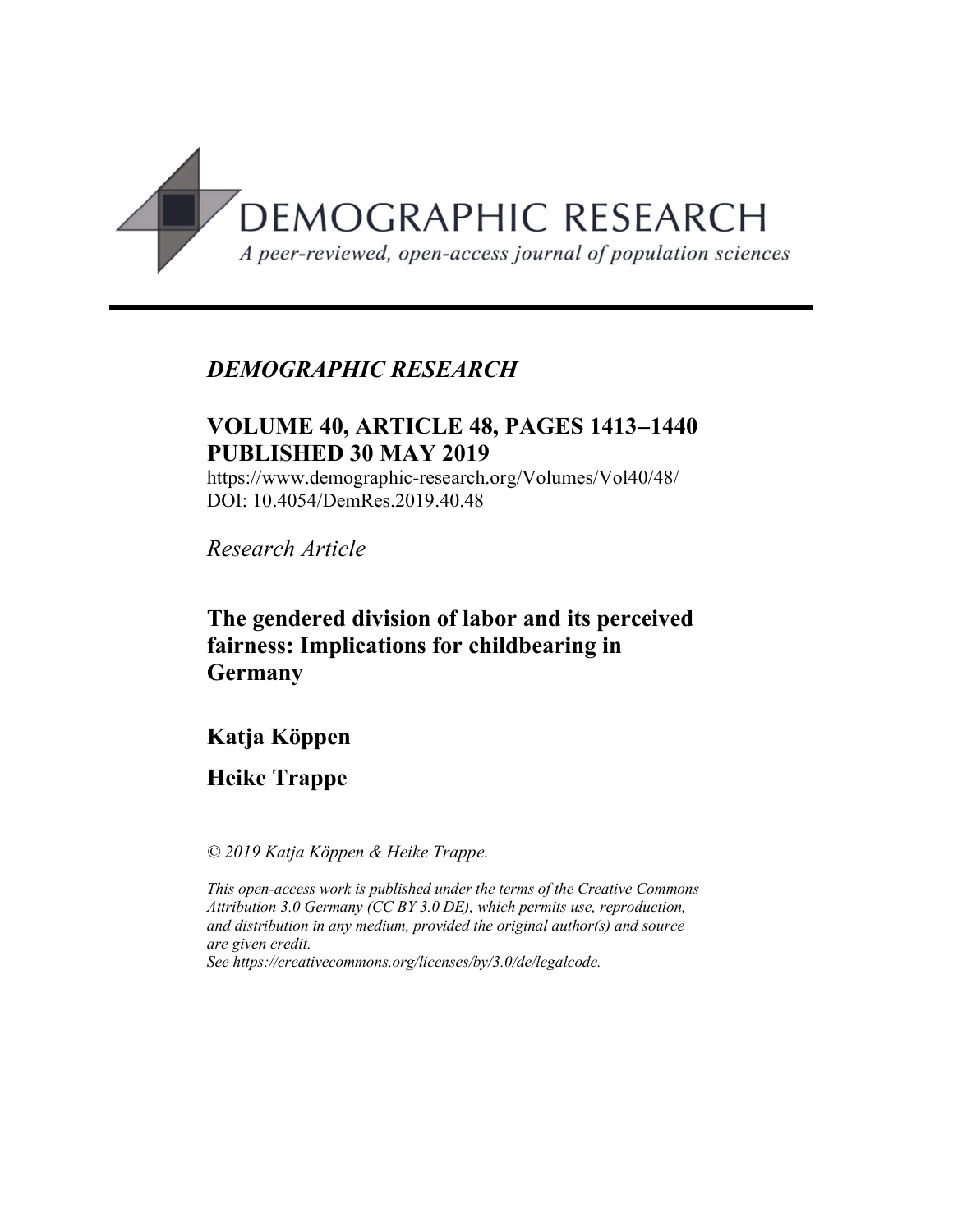

# *DEMOGRAPHIC RESEARCH*

# **VOLUME 40, ARTICLE 48, PAGES 1413**-**1440 PUBLISHED 30 MAY 2019**

https://www.demographic-research.org/Volumes/Vol40/48/ DOI: 10.4054/DemRes.2019.40.48

*Research Article*

# **The gendered division of labor and its perceived fairness: Implications for childbearing in Germany**

# **Katja Köppen**

# **Heike Trappe**

*© 2019 Katja Köppen & Heike Trappe.*

*This open-access work is published under the terms of the Creative Commons Attribution 3.0 Germany (CC BY 3.0 DE), which permits use, reproduction, and distribution in any medium, provided the original author(s) and source are given credit.*

*See [https://creativecommons.org/licenses/by/3.0/de/legalcode.](https://creativecommons.org/licenses/by/3.0/de/legalcode)*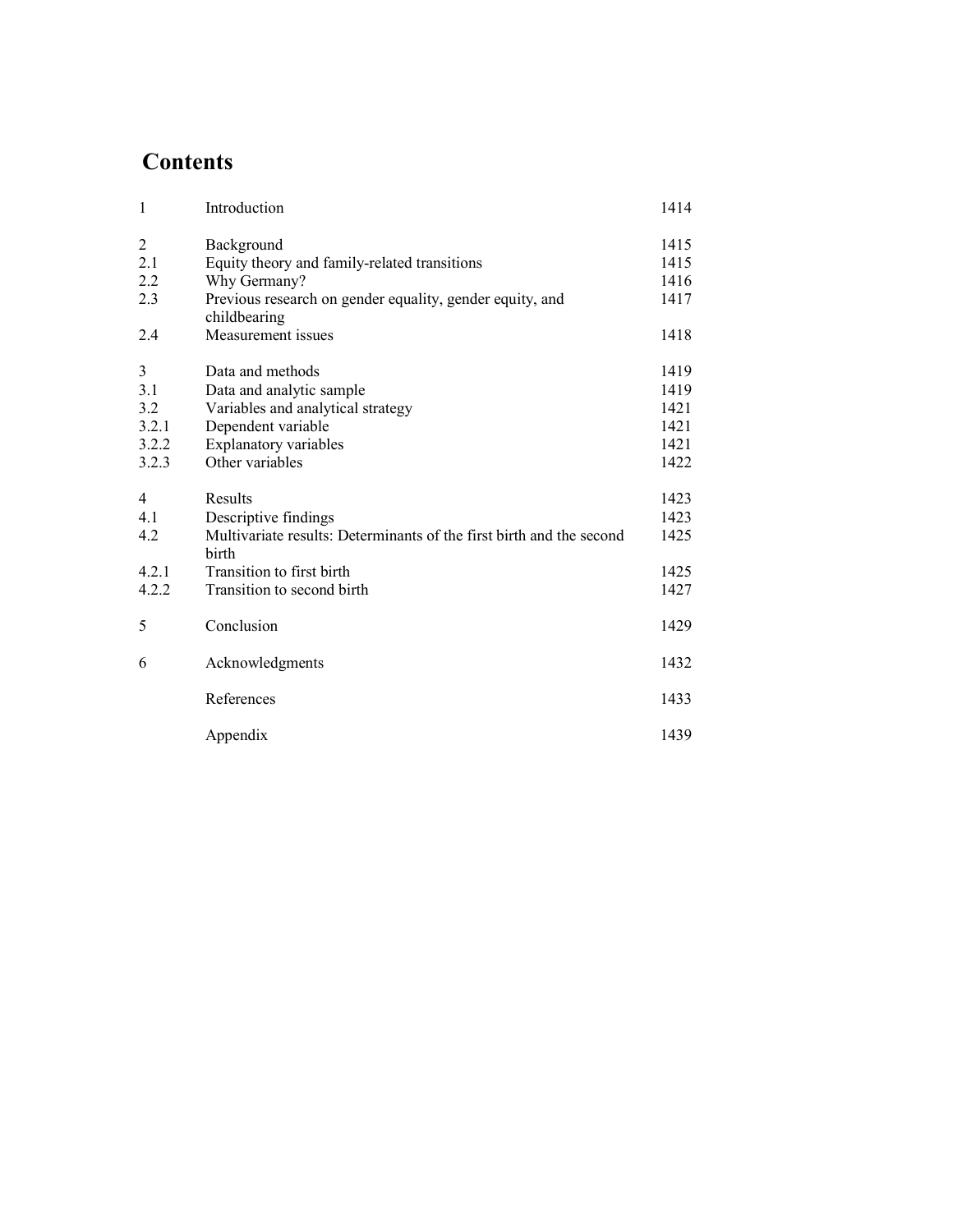# **Contents**

| $\mathbf{1}$   | Introduction                                                                  | 1414 |
|----------------|-------------------------------------------------------------------------------|------|
| $\overline{2}$ | Background                                                                    | 1415 |
| 2.1            | Equity theory and family-related transitions                                  | 1415 |
| 2.2            | Why Germany?                                                                  | 1416 |
| 2.3            | Previous research on gender equality, gender equity, and<br>childbearing      | 1417 |
| 2.4            | Measurement issues                                                            | 1418 |
| 3              | Data and methods                                                              | 1419 |
| 3.1            | Data and analytic sample                                                      | 1419 |
| 3.2            | Variables and analytical strategy                                             | 1421 |
| 3.2.1          | Dependent variable                                                            | 1421 |
| 3.2.2          | <b>Explanatory variables</b>                                                  | 1421 |
| 3.2.3          | Other variables                                                               | 1422 |
| 4              | Results                                                                       | 1423 |
| 4.1            | Descriptive findings                                                          | 1423 |
| 4.2            | Multivariate results: Determinants of the first birth and the second<br>birth | 1425 |
| 4.2.1          | Transition to first birth                                                     | 1425 |
| 4.2.2          | Transition to second birth                                                    | 1427 |
| 5              | Conclusion                                                                    | 1429 |
| 6              | Acknowledgments                                                               | 1432 |
|                | References                                                                    | 1433 |
|                | Appendix                                                                      | 1439 |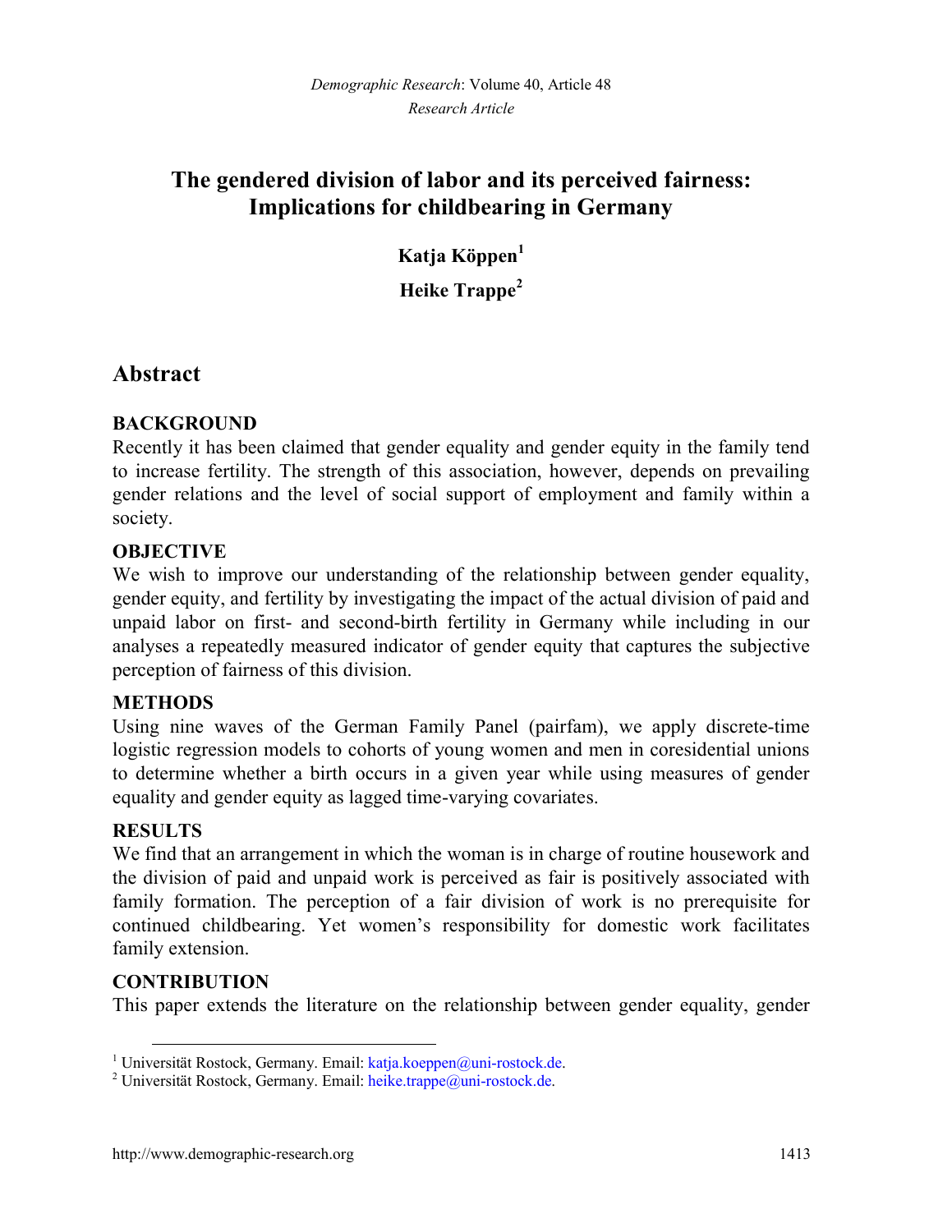# **The gendered division of labor and its perceived fairness: Implications for childbearing in Germany**

**Katja Köppen[1](#page-2-0) Heike Trappe[2](#page-2-1)**

## **Abstract**

## **BACKGROUND**

Recently it has been claimed that gender equality and gender equity in the family tend to increase fertility. The strength of this association, however, depends on prevailing gender relations and the level of social support of employment and family within a society.

## **OBJECTIVE**

We wish to improve our understanding of the relationship between gender equality, gender equity, and fertility by investigating the impact of the actual division of paid and unpaid labor on first- and second-birth fertility in Germany while including in our analyses a repeatedly measured indicator of gender equity that captures the subjective perception of fairness of this division.

### **METHODS**

Using nine waves of the German Family Panel (pairfam), we apply discrete-time logistic regression models to cohorts of young women and men in coresidential unions to determine whether a birth occurs in a given year while using measures of gender equality and gender equity as lagged time-varying covariates.

### **RESULTS**

We find that an arrangement in which the woman is in charge of routine housework and the division of paid and unpaid work is perceived as fair is positively associated with family formation. The perception of a fair division of work is no prerequisite for continued childbearing. Yet women's responsibility for domestic work facilitates family extension.

### **CONTRIBUTION**

This paper extends the literature on the relationship between gender equality, gender

<span id="page-2-0"></span><sup>&</sup>lt;sup>1</sup> Universität Rostock, Germany. Email: [katja.koeppen@uni-rostock.de.](mailto:katja.koeppen@uni-rostock.de)

<span id="page-2-1"></span><sup>&</sup>lt;sup>2</sup> Universität Rostock, Germany. Email: [heike.trappe@uni-rostock.de.](mailto:heike.trappe@uni-rostock.de)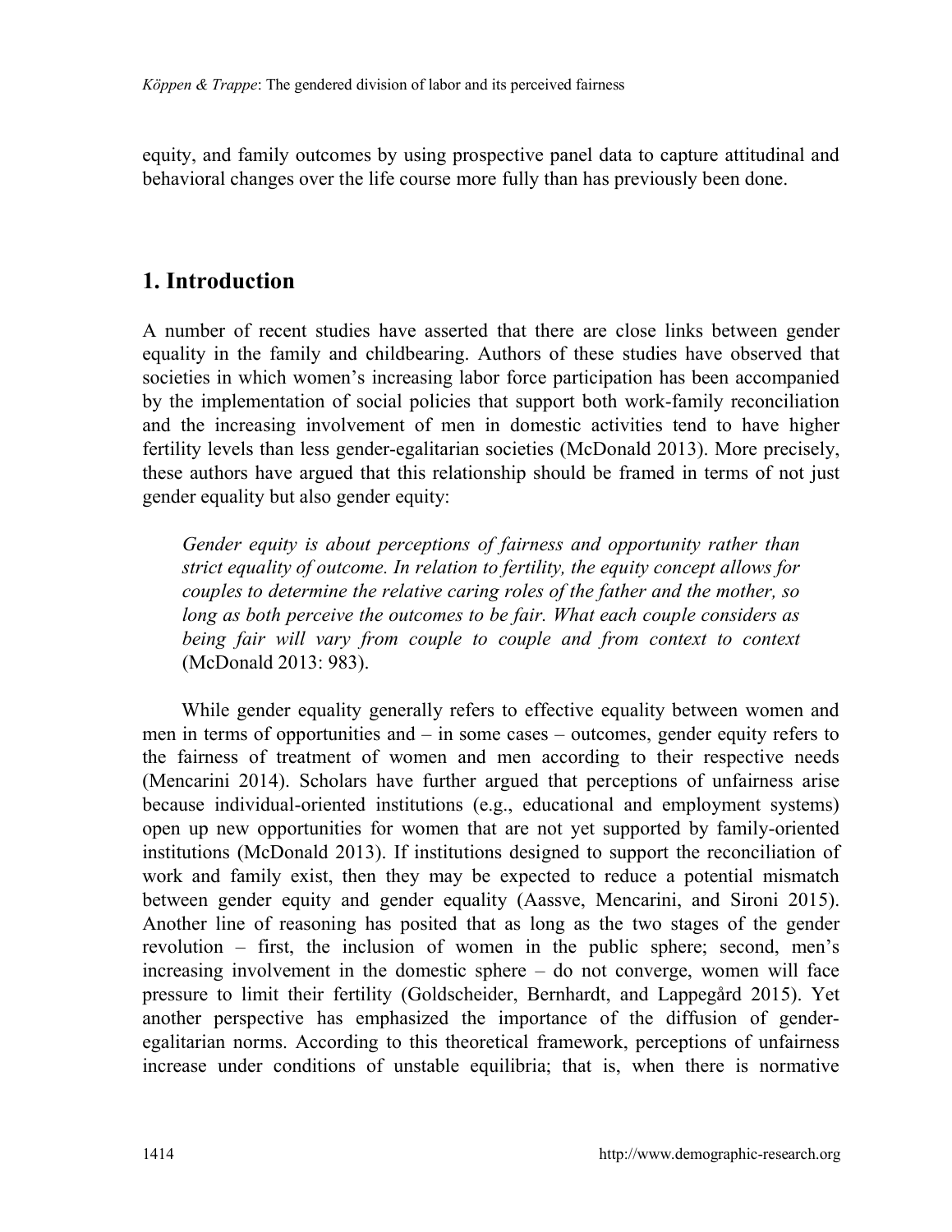equity, and family outcomes by using prospective panel data to capture attitudinal and behavioral changes over the life course more fully than has previously been done.

## **1. Introduction**

A number of recent studies have asserted that there are close links between gender equality in the family and childbearing. Authors of these studies have observed that societies in which women's increasing labor force participation has been accompanied by the implementation of social policies that support both work-family reconciliation and the increasing involvement of men in domestic activities tend to have higher fertility levels than less gender-egalitarian societies (McDonald 2013). More precisely, these authors have argued that this relationship should be framed in terms of not just gender equality but also gender equity:

*Gender equity is about perceptions of fairness and opportunity rather than strict equality of outcome. In relation to fertility, the equity concept allows for couples to determine the relative caring roles of the father and the mother, so long as both perceive the outcomes to be fair. What each couple considers as being fair will vary from couple to couple and from context to context* (McDonald 2013: 983).

While gender equality generally refers to effective equality between women and men in terms of opportunities and – in some cases – outcomes, gender equity refers to the fairness of treatment of women and men according to their respective needs (Mencarini 2014). Scholars have further argued that perceptions of unfairness arise because individual-oriented institutions (e.g., educational and employment systems) open up new opportunities for women that are not yet supported by family-oriented institutions (McDonald 2013). If institutions designed to support the reconciliation of work and family exist, then they may be expected to reduce a potential mismatch between gender equity and gender equality (Aassve, Mencarini, and Sironi 2015). Another line of reasoning has posited that as long as the two stages of the gender revolution – first, the inclusion of women in the public sphere; second, men's increasing involvement in the domestic sphere – do not converge, women will face pressure to limit their fertility (Goldscheider, Bernhardt, and Lappegård 2015). Yet another perspective has emphasized the importance of the diffusion of genderegalitarian norms. According to this theoretical framework, perceptions of unfairness increase under conditions of unstable equilibria; that is, when there is normative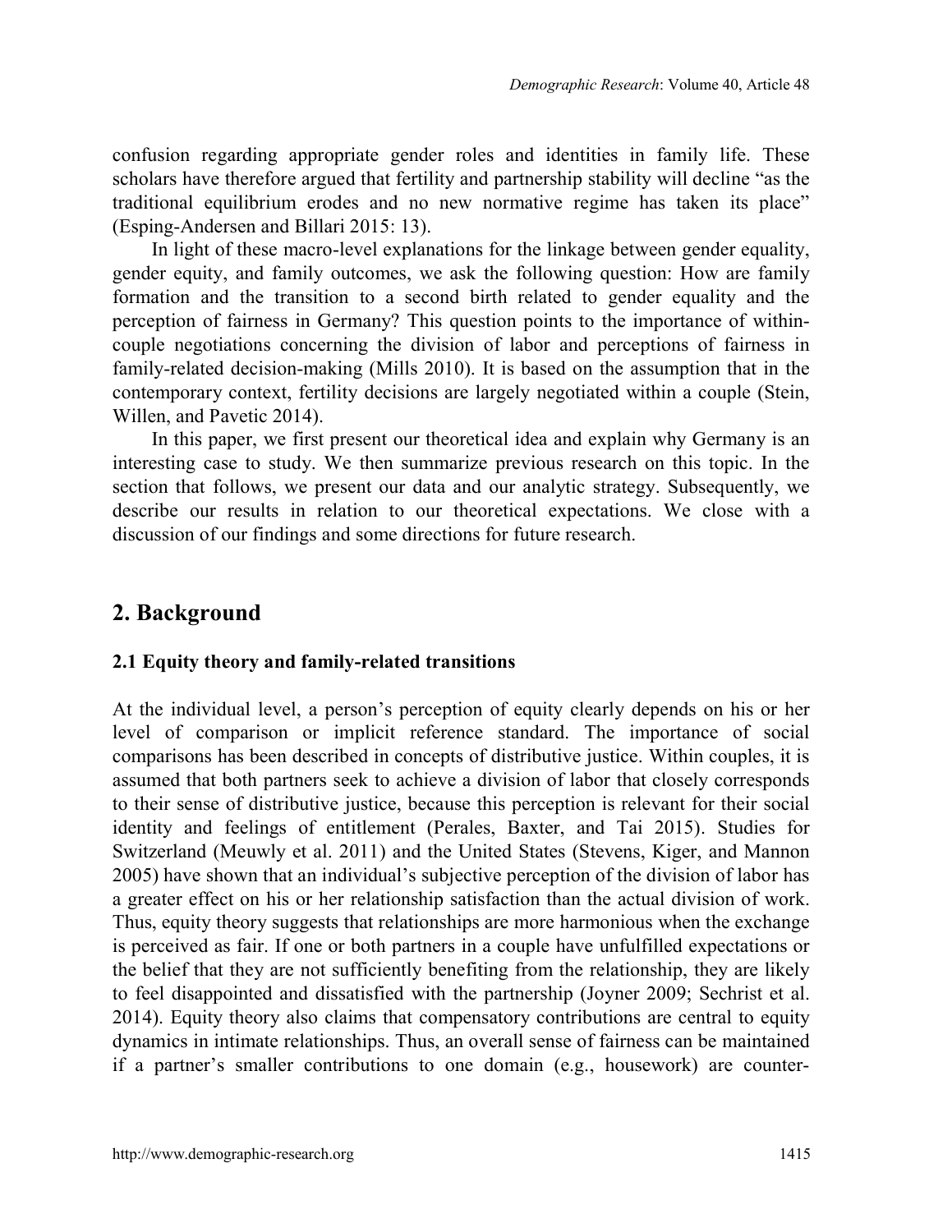confusion regarding appropriate gender roles and identities in family life. These scholars have therefore argued that fertility and partnership stability will decline "as the traditional equilibrium erodes and no new normative regime has taken its place" (Esping-Andersen and Billari 2015: 13).

In light of these macro-level explanations for the linkage between gender equality, gender equity, and family outcomes, we ask the following question: How are family formation and the transition to a second birth related to gender equality and the perception of fairness in Germany? This question points to the importance of withincouple negotiations concerning the division of labor and perceptions of fairness in family-related decision-making (Mills 2010). It is based on the assumption that in the contemporary context, fertility decisions are largely negotiated within a couple (Stein, Willen, and Pavetic 2014).

In this paper, we first present our theoretical idea and explain why Germany is an interesting case to study. We then summarize previous research on this topic. In the section that follows, we present our data and our analytic strategy. Subsequently, we describe our results in relation to our theoretical expectations. We close with a discussion of our findings and some directions for future research.

## **2. Background**

### **2.1 Equity theory and family-related transitions**

At the individual level, a person's perception of equity clearly depends on his or her level of comparison or implicit reference standard. The importance of social comparisons has been described in concepts of distributive justice. Within couples, it is assumed that both partners seek to achieve a division of labor that closely corresponds to their sense of distributive justice, because this perception is relevant for their social identity and feelings of entitlement (Perales, Baxter, and Tai 2015). Studies for Switzerland (Meuwly et al. 2011) and the United States (Stevens, Kiger, and Mannon 2005) have shown that an individual's subjective perception of the division of labor has a greater effect on his or her relationship satisfaction than the actual division of work. Thus, equity theory suggests that relationships are more harmonious when the exchange is perceived as fair. If one or both partners in a couple have unfulfilled expectations or the belief that they are not sufficiently benefiting from the relationship, they are likely to feel disappointed and dissatisfied with the partnership (Joyner 2009; Sechrist et al. 2014). Equity theory also claims that compensatory contributions are central to equity dynamics in intimate relationships. Thus, an overall sense of fairness can be maintained if a partner's smaller contributions to one domain (e.g., housework) are counter-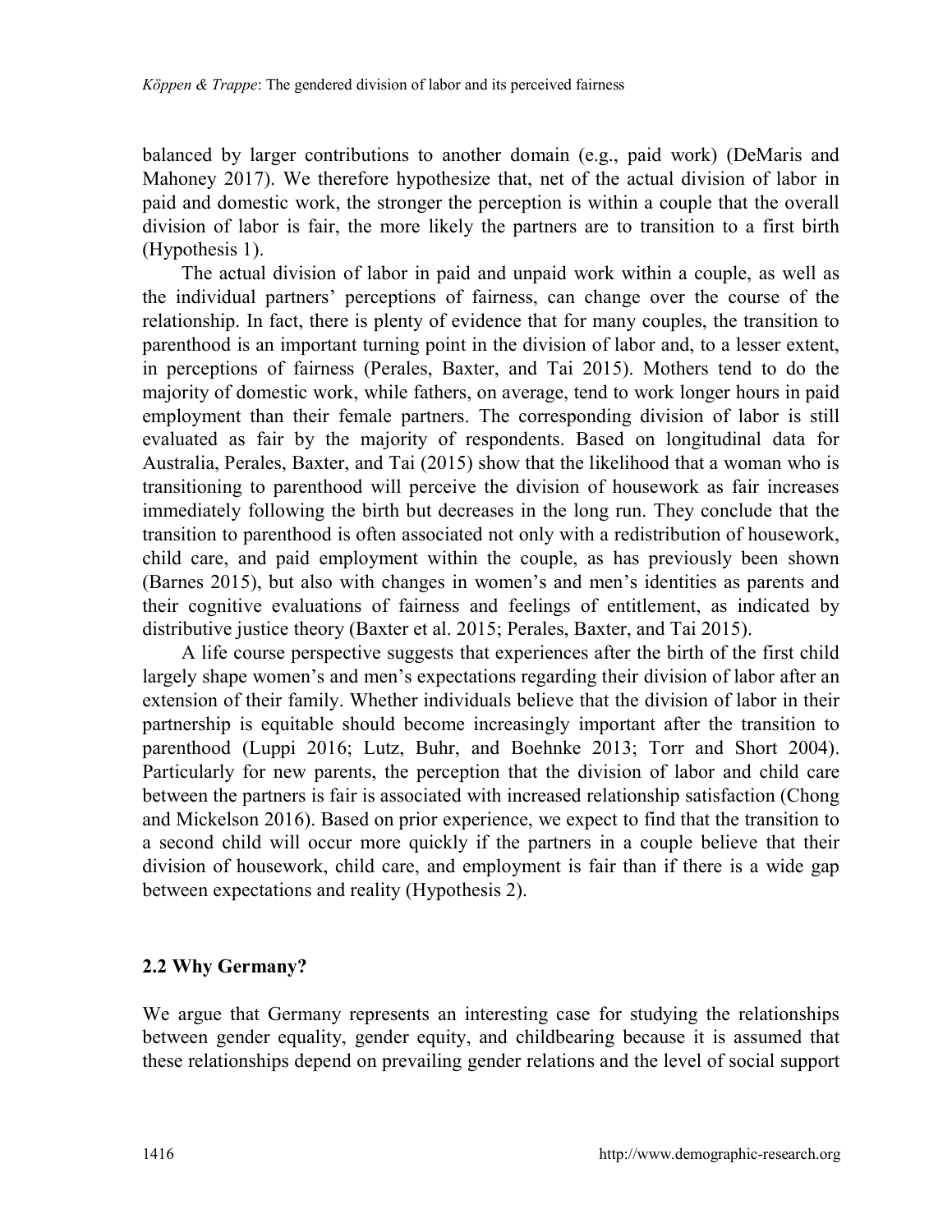balanced by larger contributions to another domain (e.g., paid work) (DeMaris and Mahoney 2017). We therefore hypothesize that, net of the actual division of labor in paid and domestic work, the stronger the perception is within a couple that the overall division of labor is fair, the more likely the partners are to transition to a first birth (Hypothesis 1).

The actual division of labor in paid and unpaid work within a couple, as well as the individual partners' perceptions of fairness, can change over the course of the relationship. In fact, there is plenty of evidence that for many couples, the transition to parenthood is an important turning point in the division of labor and, to a lesser extent, in perceptions of fairness (Perales, Baxter, and Tai 2015). Mothers tend to do the majority of domestic work, while fathers, on average, tend to work longer hours in paid employment than their female partners. The corresponding division of labor is still evaluated as fair by the majority of respondents. Based on longitudinal data for Australia, Perales, Baxter, and Tai (2015) show that the likelihood that a woman who is transitioning to parenthood will perceive the division of housework as fair increases immediately following the birth but decreases in the long run. They conclude that the transition to parenthood is often associated not only with a redistribution of housework, child care, and paid employment within the couple, as has previously been shown (Barnes 2015), but also with changes in women's and men's identities as parents and their cognitive evaluations of fairness and feelings of entitlement, as indicated by distributive justice theory (Baxter et al. 2015; Perales, Baxter, and Tai 2015).

A life course perspective suggests that experiences after the birth of the first child largely shape women's and men's expectations regarding their division of labor after an extension of their family. Whether individuals believe that the division of labor in their partnership is equitable should become increasingly important after the transition to parenthood (Luppi 2016; Lutz, Buhr, and Boehnke 2013; Torr and Short 2004). Particularly for new parents, the perception that the division of labor and child care between the partners is fair is associated with increased relationship satisfaction (Chong and Mickelson 2016). Based on prior experience, we expect to find that the transition to a second child will occur more quickly if the partners in a couple believe that their division of housework, child care, and employment is fair than if there is a wide gap between expectations and reality (Hypothesis 2).

### **2.2 Why Germany?**

We argue that Germany represents an interesting case for studying the relationships between gender equality, gender equity, and childbearing because it is assumed that these relationships depend on prevailing gender relations and the level of social support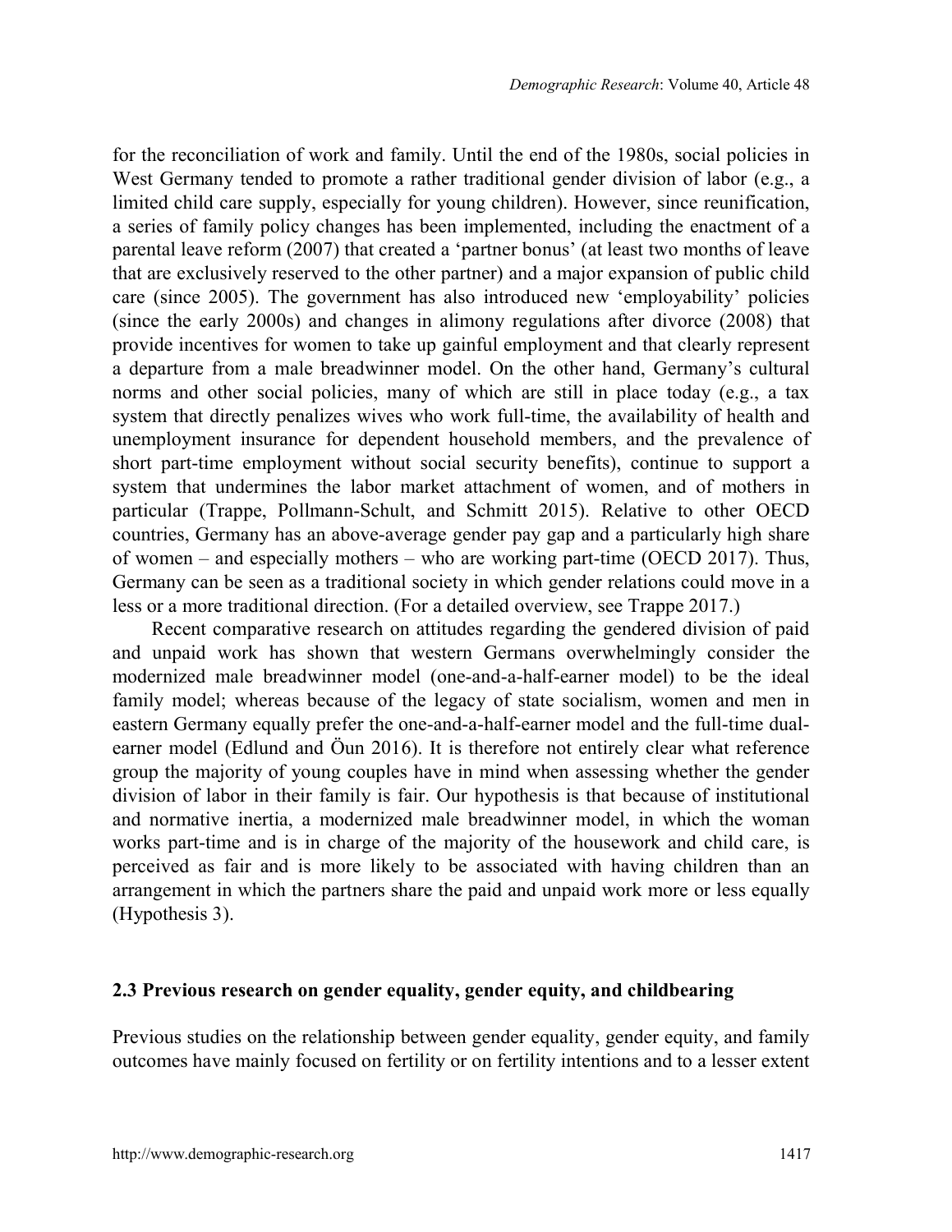for the reconciliation of work and family. Until the end of the 1980s, social policies in West Germany tended to promote a rather traditional gender division of labor (e.g., a limited child care supply, especially for young children). However, since reunification, a series of family policy changes has been implemented, including the enactment of a parental leave reform (2007) that created a 'partner bonus' (at least two months of leave that are exclusively reserved to the other partner) and a major expansion of public child care (since 2005). The government has also introduced new 'employability' policies (since the early 2000s) and changes in alimony regulations after divorce (2008) that provide incentives for women to take up gainful employment and that clearly represent a departure from a male breadwinner model. On the other hand, Germany's cultural norms and other social policies, many of which are still in place today (e.g., a tax system that directly penalizes wives who work full-time, the availability of health and unemployment insurance for dependent household members, and the prevalence of short part-time employment without social security benefits), continue to support a system that undermines the labor market attachment of women, and of mothers in particular (Trappe, Pollmann-Schult, and Schmitt 2015). Relative to other OECD countries, Germany has an above-average gender pay gap and a particularly high share of women – and especially mothers – who are working part-time (OECD 2017). Thus, Germany can be seen as a traditional society in which gender relations could move in a less or a more traditional direction. (For a detailed overview, see Trappe 2017.)

Recent comparative research on attitudes regarding the gendered division of paid and unpaid work has shown that western Germans overwhelmingly consider the modernized male breadwinner model (one-and-a-half-earner model) to be the ideal family model; whereas because of the legacy of state socialism, women and men in eastern Germany equally prefer the one-and-a-half-earner model and the full-time dualearner model (Edlund and Öun 2016). It is therefore not entirely clear what reference group the majority of young couples have in mind when assessing whether the gender division of labor in their family is fair. Our hypothesis is that because of institutional and normative inertia, a modernized male breadwinner model, in which the woman works part-time and is in charge of the majority of the housework and child care, is perceived as fair and is more likely to be associated with having children than an arrangement in which the partners share the paid and unpaid work more or less equally (Hypothesis 3).

#### **2.3 Previous research on gender equality, gender equity, and childbearing**

Previous studies on the relationship between gender equality, gender equity, and family outcomes have mainly focused on fertility or on fertility intentions and to a lesser extent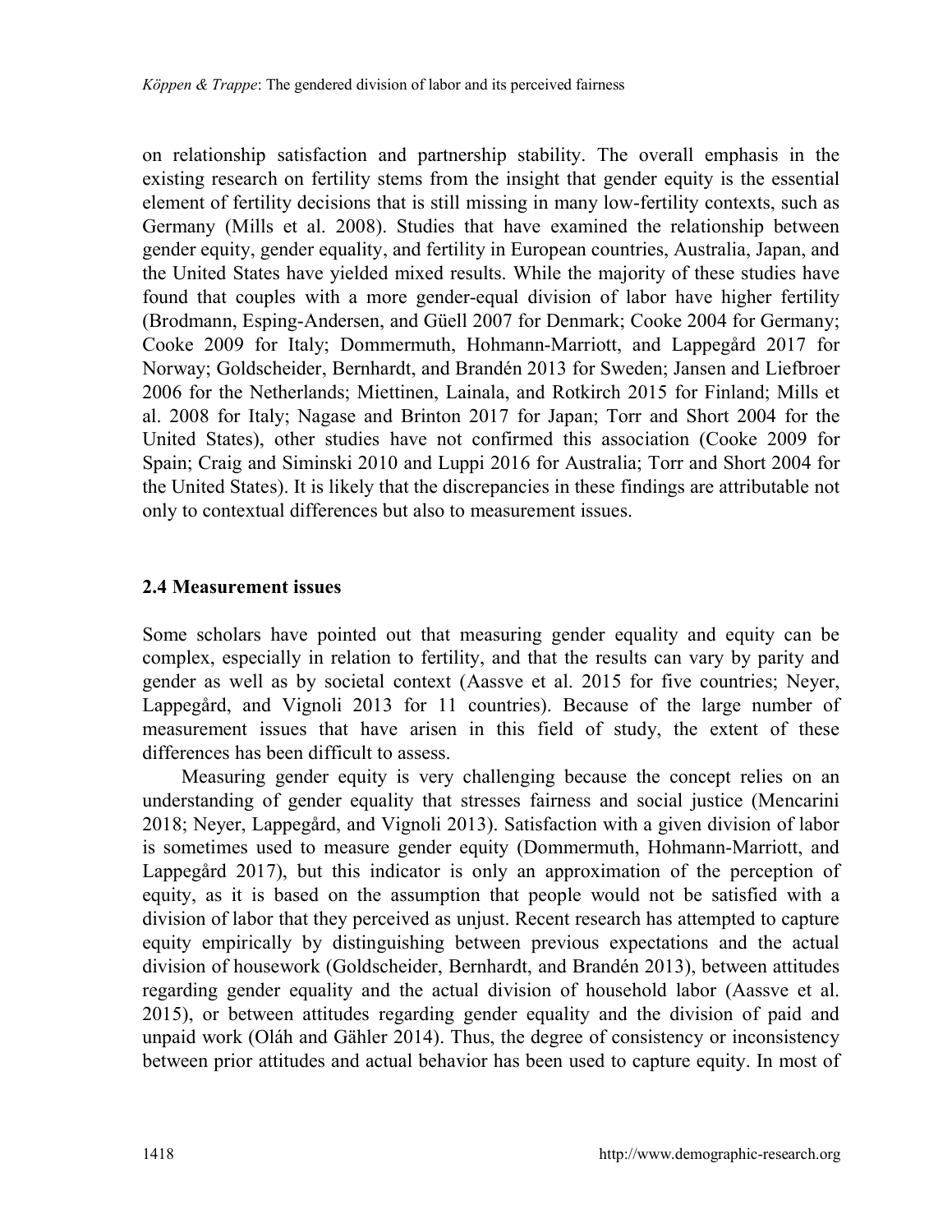on relationship satisfaction and partnership stability. The overall emphasis in the existing research on fertility stems from the insight that gender equity is the essential element of fertility decisions that is still missing in many low-fertility contexts, such as Germany (Mills et al. 2008). Studies that have examined the relationship between gender equity, gender equality, and fertility in European countries, Australia, Japan, and the United States have yielded mixed results. While the majority of these studies have found that couples with a more gender-equal division of labor have higher fertility (Brodmann, Esping-Andersen, and Güell 2007 for Denmark; Cooke 2004 for Germany; Cooke 2009 for Italy; Dommermuth, Hohmann-Marriott, and Lappegård 2017 for Norway; Goldscheider, Bernhardt, and Brandén 2013 for Sweden; Jansen and Liefbroer 2006 for the Netherlands; Miettinen, Lainala, and Rotkirch 2015 for Finland; Mills et al. 2008 for Italy; Nagase and Brinton 2017 for Japan; Torr and Short 2004 for the United States), other studies have not confirmed this association (Cooke 2009 for Spain; Craig and Siminski 2010 and Luppi 2016 for Australia; Torr and Short 2004 for the United States). It is likely that the discrepancies in these findings are attributable not only to contextual differences but also to measurement issues.

#### **2.4 Measurement issues**

Some scholars have pointed out that measuring gender equality and equity can be complex, especially in relation to fertility, and that the results can vary by parity and gender as well as by societal context (Aassve et al. 2015 for five countries; Neyer, Lappegård, and Vignoli 2013 for 11 countries). Because of the large number of measurement issues that have arisen in this field of study, the extent of these differences has been difficult to assess.

Measuring gender equity is very challenging because the concept relies on an understanding of gender equality that stresses fairness and social justice (Mencarini 2018; Neyer, Lappegård, and Vignoli 2013). Satisfaction with a given division of labor is sometimes used to measure gender equity (Dommermuth, Hohmann-Marriott, and Lappegård 2017), but this indicator is only an approximation of the perception of equity, as it is based on the assumption that people would not be satisfied with a division of labor that they perceived as unjust. Recent research has attempted to capture equity empirically by distinguishing between previous expectations and the actual division of housework (Goldscheider, Bernhardt, and Brandén 2013), between attitudes regarding gender equality and the actual division of household labor (Aassve et al. 2015), or between attitudes regarding gender equality and the division of paid and unpaid work (Oláh and Gähler 2014). Thus, the degree of consistency or inconsistency between prior attitudes and actual behavior has been used to capture equity. In most of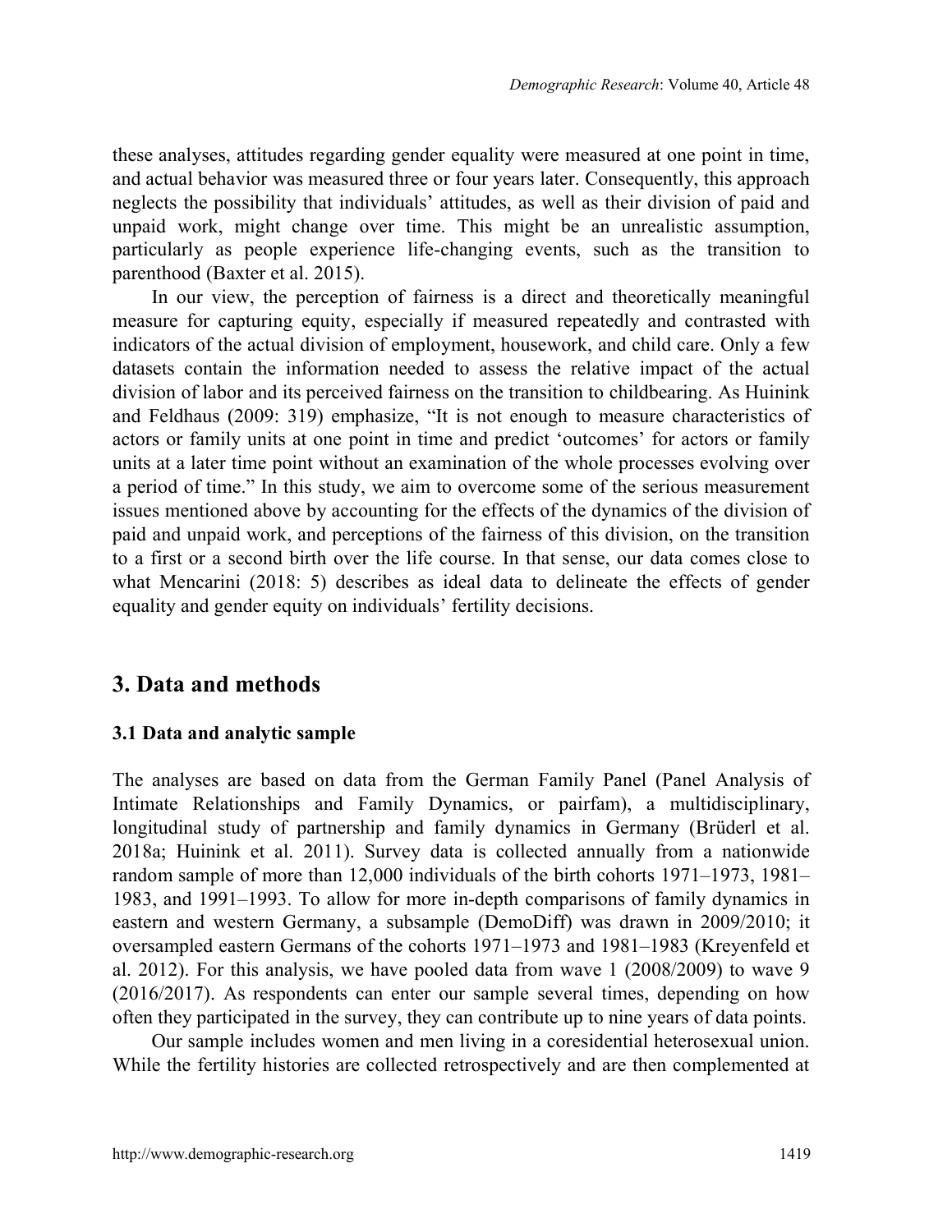these analyses, attitudes regarding gender equality were measured at one point in time, and actual behavior was measured three or four years later. Consequently, this approach neglects the possibility that individuals' attitudes, as well as their division of paid and unpaid work, might change over time. This might be an unrealistic assumption, particularly as people experience life-changing events, such as the transition to parenthood (Baxter et al. 2015).

In our view, the perception of fairness is a direct and theoretically meaningful measure for capturing equity, especially if measured repeatedly and contrasted with indicators of the actual division of employment, housework, and child care. Only a few datasets contain the information needed to assess the relative impact of the actual division of labor and its perceived fairness on the transition to childbearing. As Huinink and Feldhaus (2009: 319) emphasize, "It is not enough to measure characteristics of actors or family units at one point in time and predict 'outcomes' for actors or family units at a later time point without an examination of the whole processes evolving over a period of time." In this study, we aim to overcome some of the serious measurement issues mentioned above by accounting for the effects of the dynamics of the division of paid and unpaid work, and perceptions of the fairness of this division, on the transition to a first or a second birth over the life course. In that sense, our data comes close to what Mencarini (2018: 5) describes as ideal data to delineate the effects of gender equality and gender equity on individuals' fertility decisions.

## **3. Data and methods**

### **3.1 Data and analytic sample**

The analyses are based on data from the German Family Panel (Panel Analysis of Intimate Relationships and Family Dynamics, or pairfam), a multidisciplinary, longitudinal study of partnership and family dynamics in Germany (Brüderl et al. 2018a; Huinink et al. 2011). Survey data is collected annually from a nationwide random sample of more than 12,000 individuals of the birth cohorts 1971–1973, 1981– 1983, and 1991–1993. To allow for more in-depth comparisons of family dynamics in eastern and western Germany, a subsample (DemoDiff) was drawn in 2009/2010; it oversampled eastern Germans of the cohorts 1971–1973 and 1981–1983 (Kreyenfeld et al. 2012). For this analysis, we have pooled data from wave 1 (2008/2009) to wave 9 (2016/2017). As respondents can enter our sample several times, depending on how often they participated in the survey, they can contribute up to nine years of data points.

Our sample includes women and men living in a coresidential heterosexual union. While the fertility histories are collected retrospectively and are then complemented at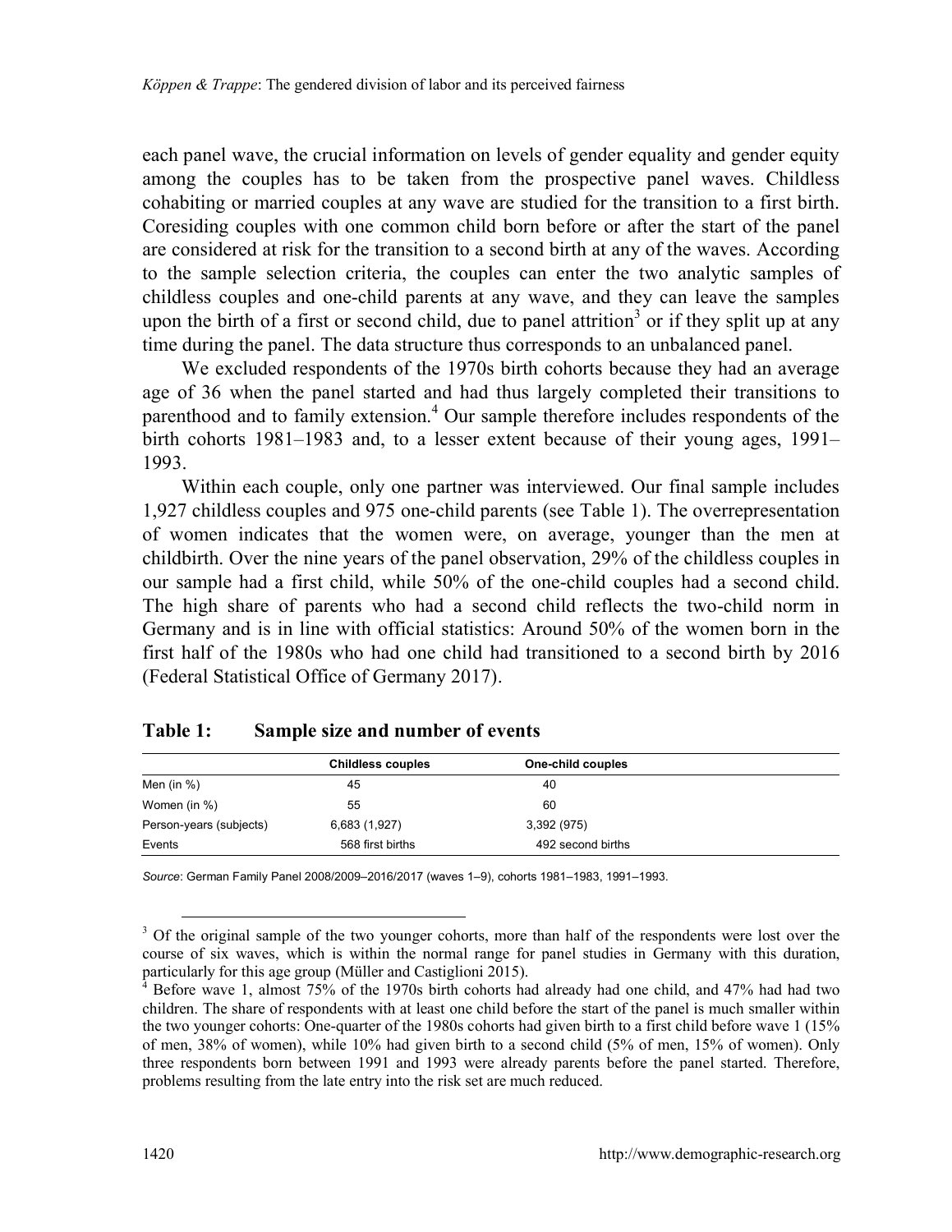each panel wave, the crucial information on levels of gender equality and gender equity among the couples has to be taken from the prospective panel waves. Childless cohabiting or married couples at any wave are studied for the transition to a first birth. Coresiding couples with one common child born before or after the start of the panel are considered at risk for the transition to a second birth at any of the waves. According to the sample selection criteria, the couples can enter the two analytic samples of childless couples and one-child parents at any wave, and they can leave the samples uponthe birth of a first or second child, due to panel attrition<sup>3</sup> or if they split up at any time during the panel. The data structure thus corresponds to an unbalanced panel.

We excluded respondents of the 1970s birth cohorts because they had an average age of 36 when the panel started and had thus largely completed their transitions to parenthoodand to family extension.<sup>4</sup> Our sample therefore includes respondents of the birth cohorts 1981–1983 and, to a lesser extent because of their young ages, 1991– 1993.

Within each couple, only one partner was interviewed. Our final sample includes 1,927 childless couples and 975 one-child parents (see Table 1). The overrepresentation of women indicates that the women were, on average, younger than the men at childbirth. Over the nine years of the panel observation, 29% of the childless couples in our sample had a first child, while 50% of the one-child couples had a second child. The high share of parents who had a second child reflects the two-child norm in Germany and is in line with official statistics: Around 50% of the women born in the first half of the 1980s who had one child had transitioned to a second birth by 2016 (Federal Statistical Office of Germany 2017).

|                         | <b>Childless couples</b> | One-child couples |  |
|-------------------------|--------------------------|-------------------|--|
| Men (in %)              | 45                       | 40                |  |
| Women (in %)            | 55                       | 60                |  |
| Person-years (subjects) | 6,683 (1,927)            | 3,392 (975)       |  |
| Events                  | 568 first births         | 492 second births |  |

#### **Table 1: Sample size and number of events**

*Source*: German Family Panel 2008/2009–2016/2017 (waves 1–9), cohorts 1981–1983, 1991–1993.

<span id="page-9-0"></span><sup>&</sup>lt;sup>3</sup> Of the original sample of the two younger cohorts, more than half of the respondents were lost over the course of six waves, which is within the normal range for panel studies in Germany with this duration, particularly for this age group (Müller and Castiglioni 2015).

<span id="page-9-1"></span><sup>4</sup> Before wave 1, almost 75% of the 1970s birth cohorts had already had one child, and 47% had had two children. The share of respondents with at least one child before the start of the panel is much smaller within the two younger cohorts: One-quarter of the 1980s cohorts had given birth to a first child before wave 1 (15% of men, 38% of women), while 10% had given birth to a second child (5% of men, 15% of women). Only three respondents born between 1991 and 1993 were already parents before the panel started. Therefore, problems resulting from the late entry into the risk set are much reduced.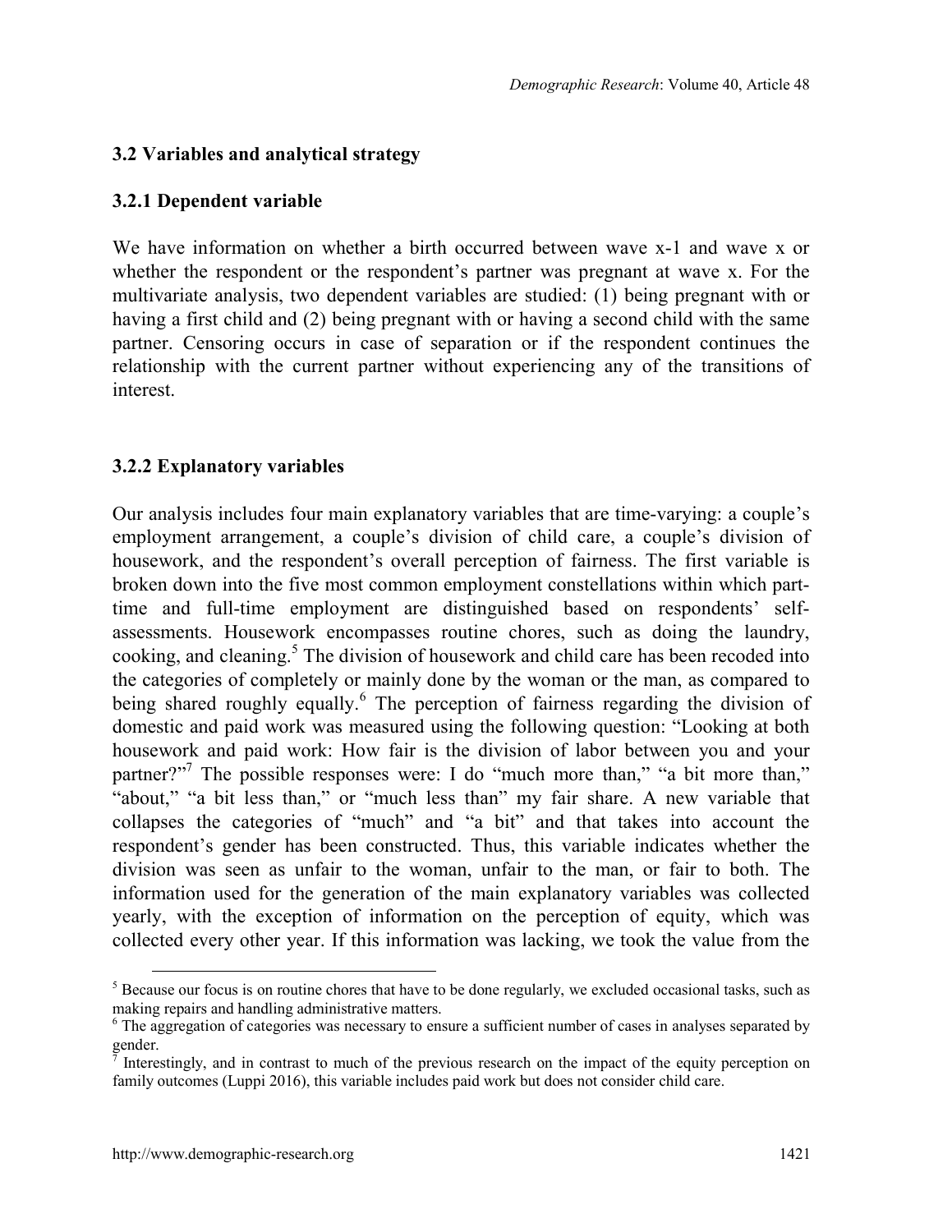## **3.2 Variables and analytical strategy**

## **3.2.1 Dependent variable**

We have information on whether a birth occurred between wave x-1 and wave x or whether the respondent or the respondent's partner was pregnant at wave x. For the multivariate analysis, two dependent variables are studied: (1) being pregnant with or having a first child and (2) being pregnant with or having a second child with the same partner. Censoring occurs in case of separation or if the respondent continues the relationship with the current partner without experiencing any of the transitions of interest.

## **3.2.2 Explanatory variables**

Our analysis includes four main explanatory variables that are time-varying: a couple's employment arrangement, a couple's division of child care, a couple's division of housework, and the respondent's overall perception of fairness. The first variable is broken down into the five most common employment constellations within which parttime and full-time employment are distinguished based on respondents' selfassessments. Housework encompasses routine chores, such as doing the laundry, cooking, and cleaning.<sup>[5](#page-10-0)</sup> The division of housework and child care has been recoded into the categories of completely or mainly done by the woman or the man, as compared to being shared roughly equally.<sup>[6](#page-10-1)</sup> The perception of fairness regarding the division of domestic and paid work was measured using the following question: "Looking at both housework and paid work: How fair is the division of labor between you and your partner?"<sup>7</sup>The possible responses were: I do "much more than," "a bit more than," "about," "a bit less than," or "much less than" my fair share. A new variable that collapses the categories of "much" and "a bit" and that takes into account the respondent's gender has been constructed. Thus, this variable indicates whether the division was seen as unfair to the woman, unfair to the man, or fair to both. The information used for the generation of the main explanatory variables was collected yearly, with the exception of information on the perception of equity, which was collected every other year. If this information was lacking, we took the value from the

<span id="page-10-0"></span><sup>&</sup>lt;sup>5</sup> Because our focus is on routine chores that have to be done regularly, we excluded occasional tasks, such as making repairs and handling administrative matters.

<span id="page-10-1"></span><sup>&</sup>lt;sup>6</sup> The aggregation of categories was necessary to ensure a sufficient number of cases in analyses separated by

<span id="page-10-2"></span>gender.<br><sup>7</sup> Interestingly, and in contrast to much of the previous research on the impact of the equity perception on family outcomes (Luppi 2016), this variable includes paid work but does not consider child care.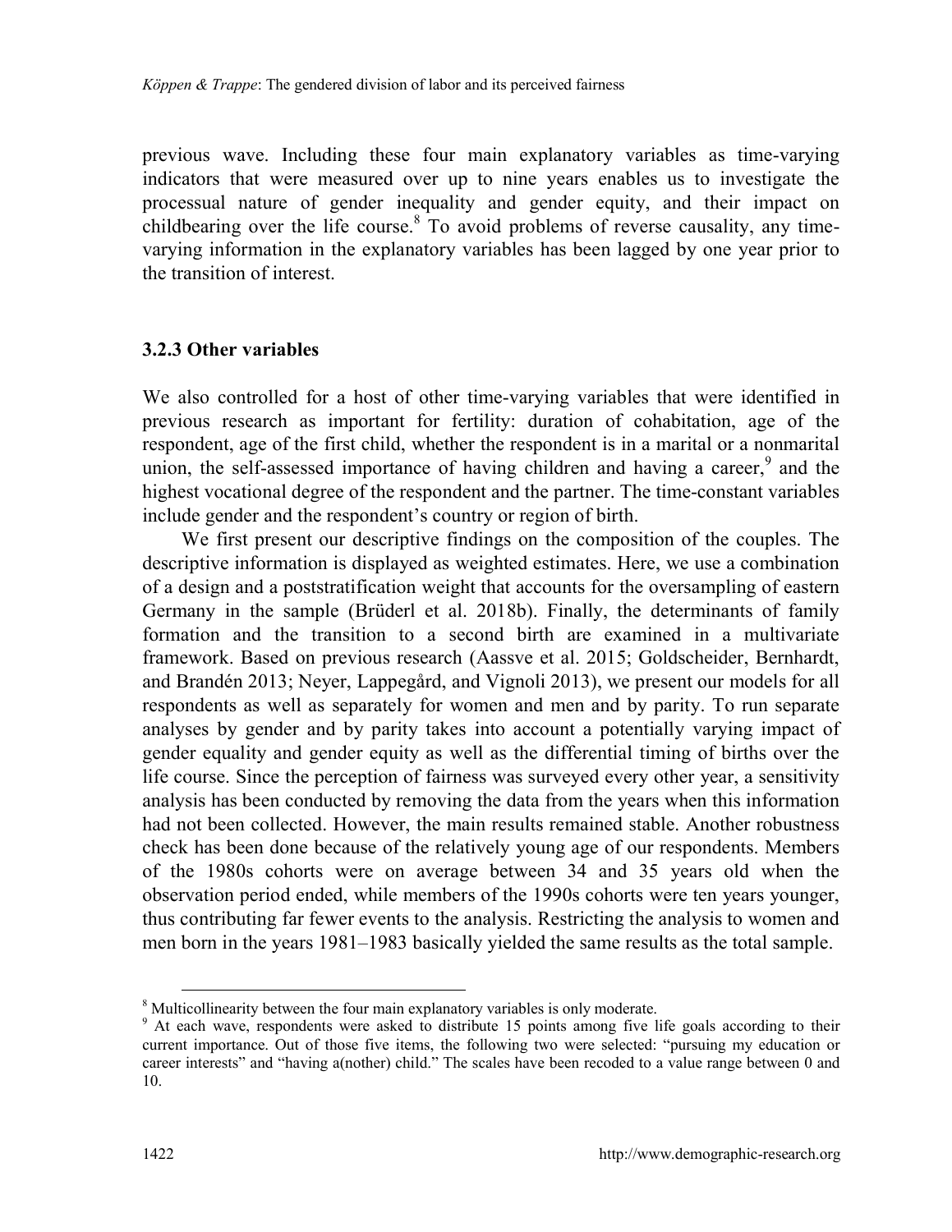previous wave. Including these four main explanatory variables as time-varying indicators that were measured over up to nine years enables us to investigate the processual nature of gender inequality and gender equity, and their impact on childbearing over the life course.<sup>[8](#page-11-0)</sup> To avoid problems of reverse causality, any timevarying information in the explanatory variables has been lagged by one year prior to the transition of interest.

#### **3.2.3 Other variables**

We also controlled for a host of other time-varying variables that were identified in previous research as important for fertility: duration of cohabitation, age of the respondent, age of the first child, whether the respondent is in a marital or a nonmarital union, the self-assessed importance of having children and having a career,<sup>[9](#page-11-1)</sup> and the highest vocational degree of the respondent and the partner. The time-constant variables include gender and the respondent's country or region of birth.

We first present our descriptive findings on the composition of the couples. The descriptive information is displayed as weighted estimates. Here, we use a combination of a design and a poststratification weight that accounts for the oversampling of eastern Germany in the sample (Brüderl et al. 2018b). Finally, the determinants of family formation and the transition to a second birth are examined in a multivariate framework. Based on previous research (Aassve et al. 2015; Goldscheider, Bernhardt, and Brandén 2013; Neyer, Lappegård, and Vignoli 2013), we present our models for all respondents as well as separately for women and men and by parity. To run separate analyses by gender and by parity takes into account a potentially varying impact of gender equality and gender equity as well as the differential timing of births over the life course. Since the perception of fairness was surveyed every other year, a sensitivity analysis has been conducted by removing the data from the years when this information had not been collected. However, the main results remained stable. Another robustness check has been done because of the relatively young age of our respondents. Members of the 1980s cohorts were on average between 34 and 35 years old when the observation period ended, while members of the 1990s cohorts were ten years younger, thus contributing far fewer events to the analysis. Restricting the analysis to women and men born in the years 1981–1983 basically yielded the same results as the total sample.

<span id="page-11-0"></span><sup>&</sup>lt;sup>8</sup> Multicollinearity between the four main explanatory variables is only moderate.

<span id="page-11-1"></span><sup>&</sup>lt;sup>9</sup> At each wave, respondents were asked to distribute 15 points among five life goals according to their current importance. Out of those five items, the following two were selected: "pursuing my education or career interests" and "having a(nother) child." The scales have been recoded to a value range between 0 and 10.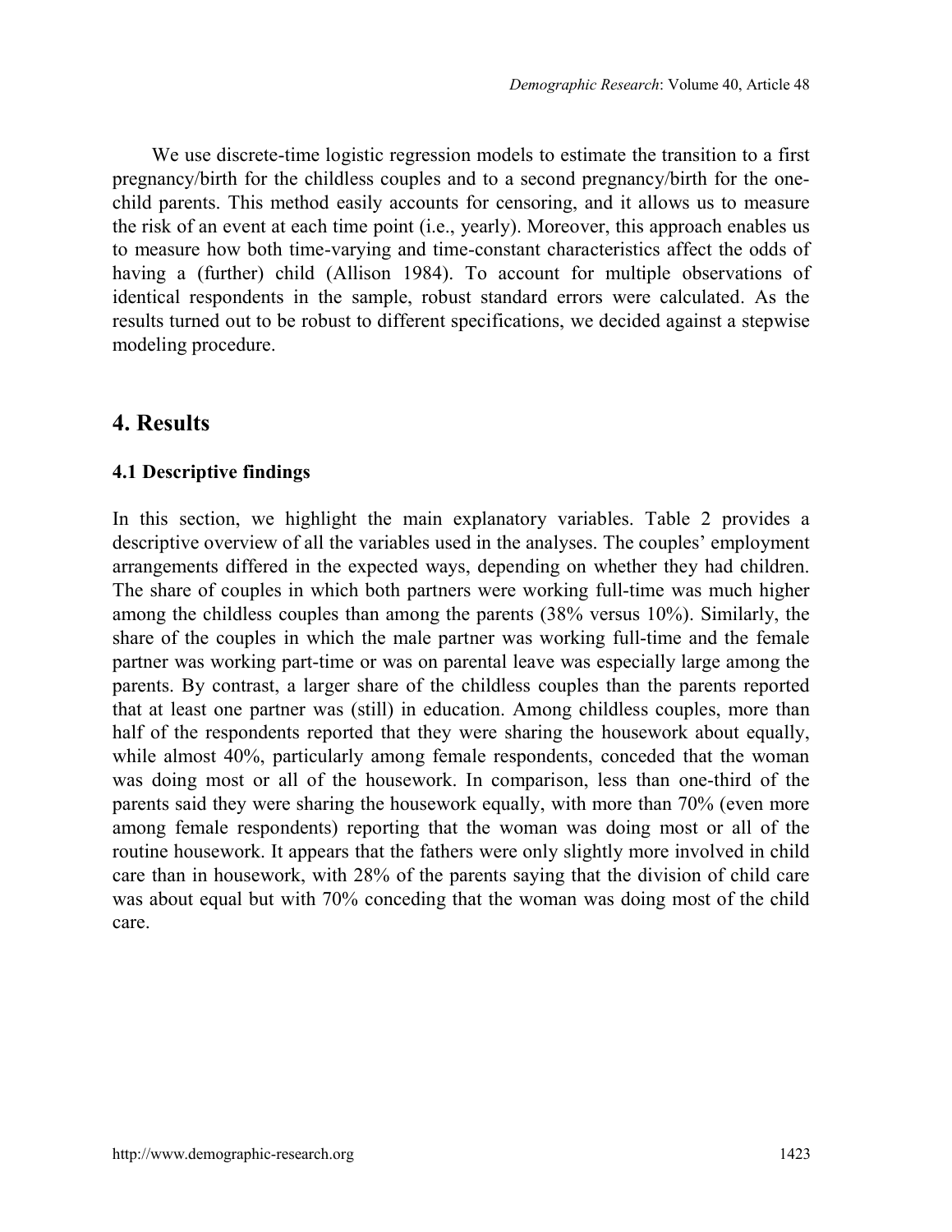We use discrete-time logistic regression models to estimate the transition to a first pregnancy/birth for the childless couples and to a second pregnancy/birth for the onechild parents. This method easily accounts for censoring, and it allows us to measure the risk of an event at each time point (i.e., yearly). Moreover, this approach enables us to measure how both time-varying and time-constant characteristics affect the odds of having a (further) child (Allison 1984). To account for multiple observations of identical respondents in the sample, robust standard errors were calculated. As the results turned out to be robust to different specifications, we decided against a stepwise modeling procedure.

# **4. Results**

## **4.1 Descriptive findings**

In this section, we highlight the main explanatory variables. Table 2 provides a descriptive overview of all the variables used in the analyses. The couples' employment arrangements differed in the expected ways, depending on whether they had children. The share of couples in which both partners were working full-time was much higher among the childless couples than among the parents (38% versus 10%). Similarly, the share of the couples in which the male partner was working full-time and the female partner was working part-time or was on parental leave was especially large among the parents. By contrast, a larger share of the childless couples than the parents reported that at least one partner was (still) in education. Among childless couples, more than half of the respondents reported that they were sharing the housework about equally, while almost 40%, particularly among female respondents, conceded that the woman was doing most or all of the housework. In comparison, less than one-third of the parents said they were sharing the housework equally, with more than 70% (even more among female respondents) reporting that the woman was doing most or all of the routine housework. It appears that the fathers were only slightly more involved in child care than in housework, with 28% of the parents saying that the division of child care was about equal but with 70% conceding that the woman was doing most of the child care.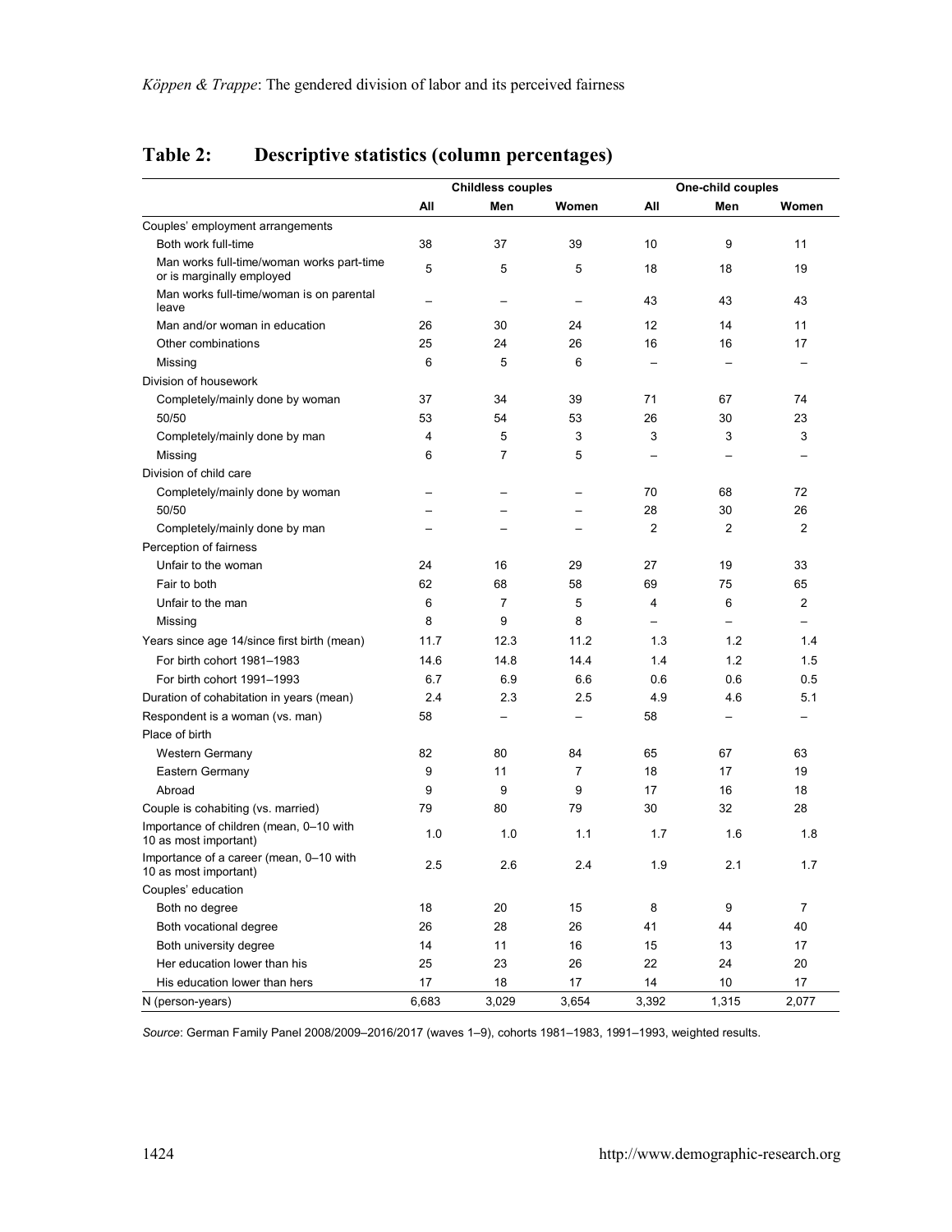|                                                                        | <b>Childless couples</b> |                          |                          | One-child couples        |                          |                |  |
|------------------------------------------------------------------------|--------------------------|--------------------------|--------------------------|--------------------------|--------------------------|----------------|--|
|                                                                        | All                      | Men                      | Women                    | All                      | Men                      | Women          |  |
| Couples' employment arrangements                                       |                          |                          |                          |                          |                          |                |  |
| Both work full-time                                                    | 38                       | 37                       | 39                       | 10                       | 9                        | 11             |  |
| Man works full-time/woman works part-time<br>or is marginally employed | 5                        | 5                        | 5                        | 18                       | 18                       | 19             |  |
| Man works full-time/woman is on parental<br>leave                      | L.                       | $\equiv$                 | $\overline{\phantom{0}}$ | 43                       | 43                       | 43             |  |
| Man and/or woman in education                                          | 26                       | 30                       | 24                       | 12                       | 14                       | 11             |  |
| Other combinations                                                     | 25                       | 24                       | 26                       | 16                       | 16                       | 17             |  |
| Missing                                                                | 6                        | 5                        | 6                        | $\equiv$                 |                          |                |  |
| Division of housework                                                  |                          |                          |                          |                          |                          |                |  |
| Completely/mainly done by woman                                        | 37                       | 34                       | 39                       | 71                       | 67                       | 74             |  |
| 50/50                                                                  | 53                       | 54                       | 53                       | 26                       | 30                       | 23             |  |
| Completely/mainly done by man                                          | 4                        | 5                        | 3                        | 3                        | 3                        | 3              |  |
| Missing                                                                | 6                        | $\overline{7}$           | 5                        | L.                       |                          |                |  |
| Division of child care                                                 |                          |                          |                          |                          |                          |                |  |
| Completely/mainly done by woman                                        |                          |                          | $\overline{\phantom{0}}$ | 70                       | 68                       | 72             |  |
| 50/50                                                                  | $\overline{\phantom{0}}$ | -                        | -                        | 28                       | 30                       | 26             |  |
| Completely/mainly done by man                                          | L.                       | ÷                        | ÷                        | $\overline{2}$           | $\overline{2}$           | $\overline{2}$ |  |
| Perception of fairness                                                 |                          |                          |                          |                          |                          |                |  |
| Unfair to the woman                                                    | 24                       | 16                       | 29                       | 27                       | 19                       | 33             |  |
| Fair to both                                                           | 62                       | 68                       | 58                       | 69                       | 75                       | 65             |  |
| Unfair to the man                                                      | 6                        | $\overline{7}$           | 5                        | 4                        | 6                        | $\overline{2}$ |  |
| Missing                                                                | 8                        | 9                        | 8                        | $\overline{\phantom{0}}$ | -                        |                |  |
| Years since age 14/since first birth (mean)                            | 11.7                     | 12.3                     | 11.2                     | 1.3                      | 1.2                      | 1.4            |  |
| For birth cohort 1981-1983                                             | 14.6                     | 14.8                     | 14.4                     | 1.4                      | 1.2                      | 1.5            |  |
| For birth cohort 1991-1993                                             | 6.7                      | 6.9                      | 6.6                      | 0.6                      | 0.6                      | 0.5            |  |
| Duration of cohabitation in years (mean)                               | 2.4                      | 2.3                      | 2.5                      | 4.9                      | 4.6                      | 5.1            |  |
| Respondent is a woman (vs. man)                                        | 58                       | $\overline{\phantom{0}}$ | $\overline{\phantom{0}}$ | 58                       | $\overline{\phantom{0}}$ |                |  |
| Place of birth                                                         |                          |                          |                          |                          |                          |                |  |
| Western Germany                                                        | 82                       | 80                       | 84                       | 65                       | 67                       | 63             |  |
| Eastern Germany                                                        | 9                        | 11                       | $\overline{7}$           | 18                       | 17                       | 19             |  |
| Abroad                                                                 | 9                        | 9                        | 9                        | 17                       | 16                       | 18             |  |
| Couple is cohabiting (vs. married)                                     | 79                       | 80                       | 79                       | 30                       | 32                       | 28             |  |
| Importance of children (mean, 0-10 with<br>10 as most important)       | 1.0                      | 1.0                      | 1.1                      | 1.7                      | 1.6                      | 1.8            |  |
| Importance of a career (mean, 0-10 with<br>10 as most important)       | 2.5                      | 2.6                      | 2.4                      | 1.9                      | 2.1                      | 1.7            |  |
| Couples' education                                                     |                          |                          |                          |                          |                          |                |  |
| Both no degree                                                         | 18                       | 20                       | 15                       | 8                        | 9                        | $\overline{7}$ |  |
| Both vocational degree                                                 | 26                       | 28                       | 26                       | 41                       | 44                       | 40             |  |
| Both university degree                                                 | 14                       | 11                       | 16                       | 15                       | 13                       | 17             |  |
| Her education lower than his                                           | 25                       | 23                       | 26                       | 22                       | 24                       | 20             |  |
| His education lower than hers                                          | 17                       | 18                       | 17                       | 14                       | 10                       | 17             |  |
| N (person-years)                                                       | 6.683                    | 3.029                    | 3.654                    | 3.392                    | 1,315                    | 2.077          |  |

## **Table 2: Descriptive statistics (column percentages)**

*Source*: German Family Panel 2008/2009–2016/2017 (waves 1–9), cohorts 1981–1983, 1991–1993, weighted results.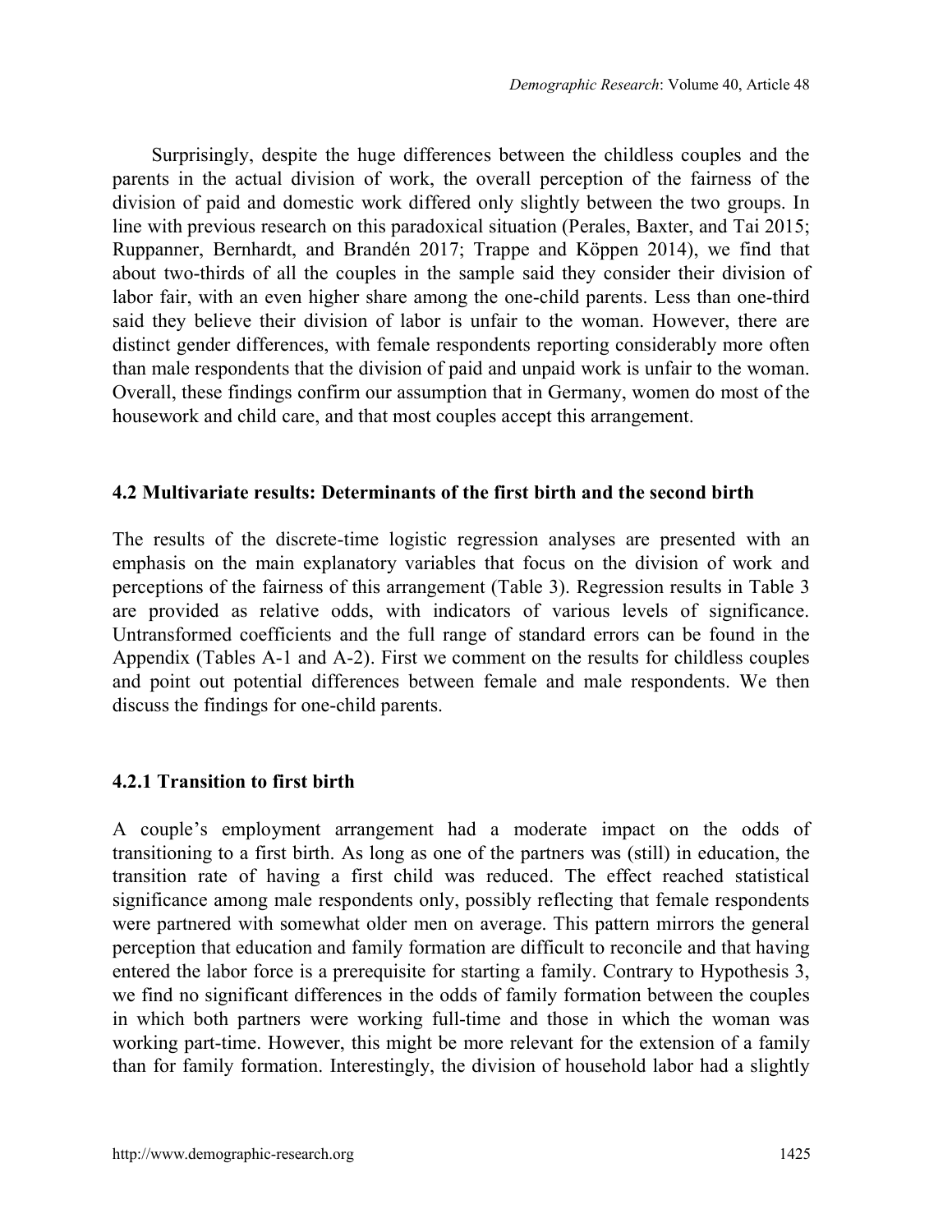Surprisingly, despite the huge differences between the childless couples and the parents in the actual division of work, the overall perception of the fairness of the division of paid and domestic work differed only slightly between the two groups. In line with previous research on this paradoxical situation (Perales, Baxter, and Tai 2015; Ruppanner, Bernhardt, and Brandén 2017; Trappe and Köppen 2014), we find that about two-thirds of all the couples in the sample said they consider their division of labor fair, with an even higher share among the one-child parents. Less than one-third said they believe their division of labor is unfair to the woman. However, there are distinct gender differences, with female respondents reporting considerably more often than male respondents that the division of paid and unpaid work is unfair to the woman. Overall, these findings confirm our assumption that in Germany, women do most of the housework and child care, and that most couples accept this arrangement.

#### **4.2 Multivariate results: Determinants of the first birth and the second birth**

The results of the discrete-time logistic regression analyses are presented with an emphasis on the main explanatory variables that focus on the division of work and perceptions of the fairness of this arrangement (Table 3). Regression results in Table 3 are provided as relative odds, with indicators of various levels of significance. Untransformed coefficients and the full range of standard errors can be found in the Appendix (Tables A-1 and A-2). First we comment on the results for childless couples and point out potential differences between female and male respondents. We then discuss the findings for one-child parents.

### **4.2.1 Transition to first birth**

A couple's employment arrangement had a moderate impact on the odds of transitioning to a first birth. As long as one of the partners was (still) in education, the transition rate of having a first child was reduced. The effect reached statistical significance among male respondents only, possibly reflecting that female respondents were partnered with somewhat older men on average. This pattern mirrors the general perception that education and family formation are difficult to reconcile and that having entered the labor force is a prerequisite for starting a family. Contrary to Hypothesis 3, we find no significant differences in the odds of family formation between the couples in which both partners were working full-time and those in which the woman was working part-time. However, this might be more relevant for the extension of a family than for family formation. Interestingly, the division of household labor had a slightly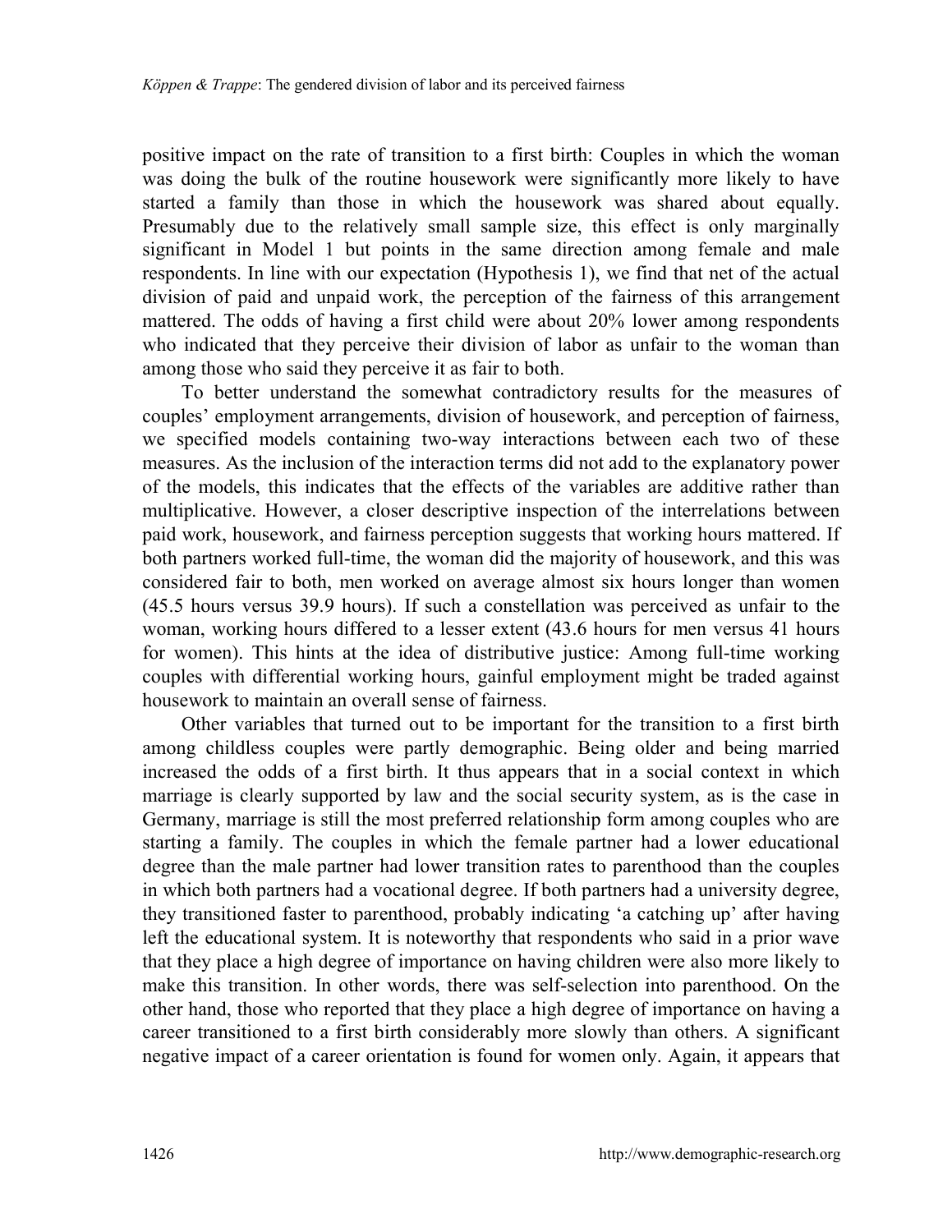positive impact on the rate of transition to a first birth: Couples in which the woman was doing the bulk of the routine housework were significantly more likely to have started a family than those in which the housework was shared about equally. Presumably due to the relatively small sample size, this effect is only marginally significant in Model 1 but points in the same direction among female and male respondents. In line with our expectation (Hypothesis 1), we find that net of the actual division of paid and unpaid work, the perception of the fairness of this arrangement mattered. The odds of having a first child were about 20% lower among respondents who indicated that they perceive their division of labor as unfair to the woman than among those who said they perceive it as fair to both.

To better understand the somewhat contradictory results for the measures of couples' employment arrangements, division of housework, and perception of fairness, we specified models containing two-way interactions between each two of these measures. As the inclusion of the interaction terms did not add to the explanatory power of the models, this indicates that the effects of the variables are additive rather than multiplicative. However, a closer descriptive inspection of the interrelations between paid work, housework, and fairness perception suggests that working hours mattered. If both partners worked full-time, the woman did the majority of housework, and this was considered fair to both, men worked on average almost six hours longer than women (45.5 hours versus 39.9 hours). If such a constellation was perceived as unfair to the woman, working hours differed to a lesser extent (43.6 hours for men versus 41 hours for women). This hints at the idea of distributive justice: Among full-time working couples with differential working hours, gainful employment might be traded against housework to maintain an overall sense of fairness.

Other variables that turned out to be important for the transition to a first birth among childless couples were partly demographic. Being older and being married increased the odds of a first birth. It thus appears that in a social context in which marriage is clearly supported by law and the social security system, as is the case in Germany, marriage is still the most preferred relationship form among couples who are starting a family. The couples in which the female partner had a lower educational degree than the male partner had lower transition rates to parenthood than the couples in which both partners had a vocational degree. If both partners had a university degree, they transitioned faster to parenthood, probably indicating 'a catching up' after having left the educational system. It is noteworthy that respondents who said in a prior wave that they place a high degree of importance on having children were also more likely to make this transition. In other words, there was self-selection into parenthood. On the other hand, those who reported that they place a high degree of importance on having a career transitioned to a first birth considerably more slowly than others. A significant negative impact of a career orientation is found for women only. Again, it appears that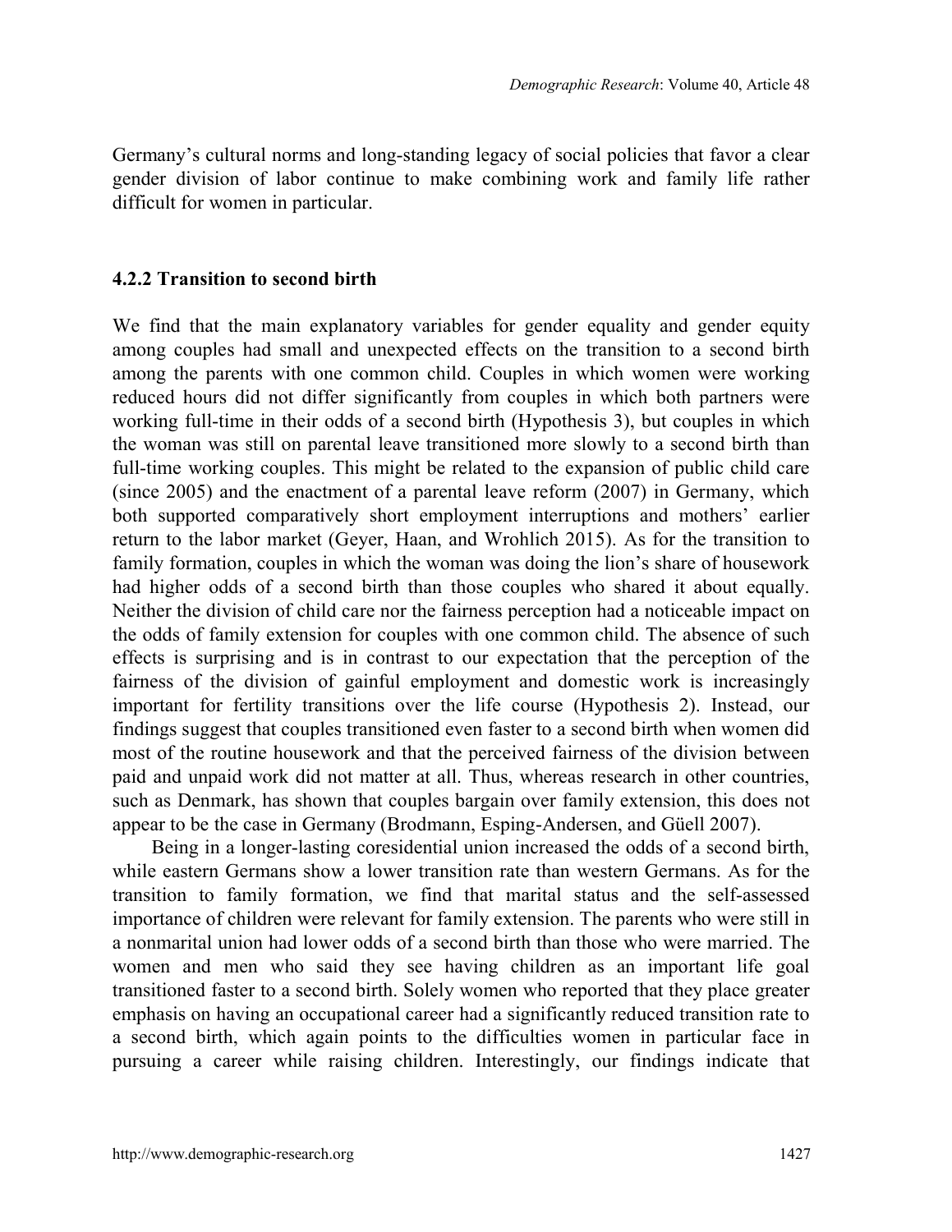Germany's cultural norms and long-standing legacy of social policies that favor a clear gender division of labor continue to make combining work and family life rather difficult for women in particular.

#### **4.2.2 Transition to second birth**

We find that the main explanatory variables for gender equality and gender equity among couples had small and unexpected effects on the transition to a second birth among the parents with one common child. Couples in which women were working reduced hours did not differ significantly from couples in which both partners were working full-time in their odds of a second birth (Hypothesis 3), but couples in which the woman was still on parental leave transitioned more slowly to a second birth than full-time working couples. This might be related to the expansion of public child care (since 2005) and the enactment of a parental leave reform (2007) in Germany, which both supported comparatively short employment interruptions and mothers' earlier return to the labor market (Geyer, Haan, and Wrohlich 2015). As for the transition to family formation, couples in which the woman was doing the lion's share of housework had higher odds of a second birth than those couples who shared it about equally. Neither the division of child care nor the fairness perception had a noticeable impact on the odds of family extension for couples with one common child. The absence of such effects is surprising and is in contrast to our expectation that the perception of the fairness of the division of gainful employment and domestic work is increasingly important for fertility transitions over the life course (Hypothesis 2). Instead, our findings suggest that couples transitioned even faster to a second birth when women did most of the routine housework and that the perceived fairness of the division between paid and unpaid work did not matter at all. Thus, whereas research in other countries, such as Denmark, has shown that couples bargain over family extension, this does not appear to be the case in Germany (Brodmann, Esping-Andersen, and Güell 2007).

Being in a longer-lasting coresidential union increased the odds of a second birth, while eastern Germans show a lower transition rate than western Germans. As for the transition to family formation, we find that marital status and the self-assessed importance of children were relevant for family extension. The parents who were still in a nonmarital union had lower odds of a second birth than those who were married. The women and men who said they see having children as an important life goal transitioned faster to a second birth. Solely women who reported that they place greater emphasis on having an occupational career had a significantly reduced transition rate to a second birth, which again points to the difficulties women in particular face in pursuing a career while raising children. Interestingly, our findings indicate that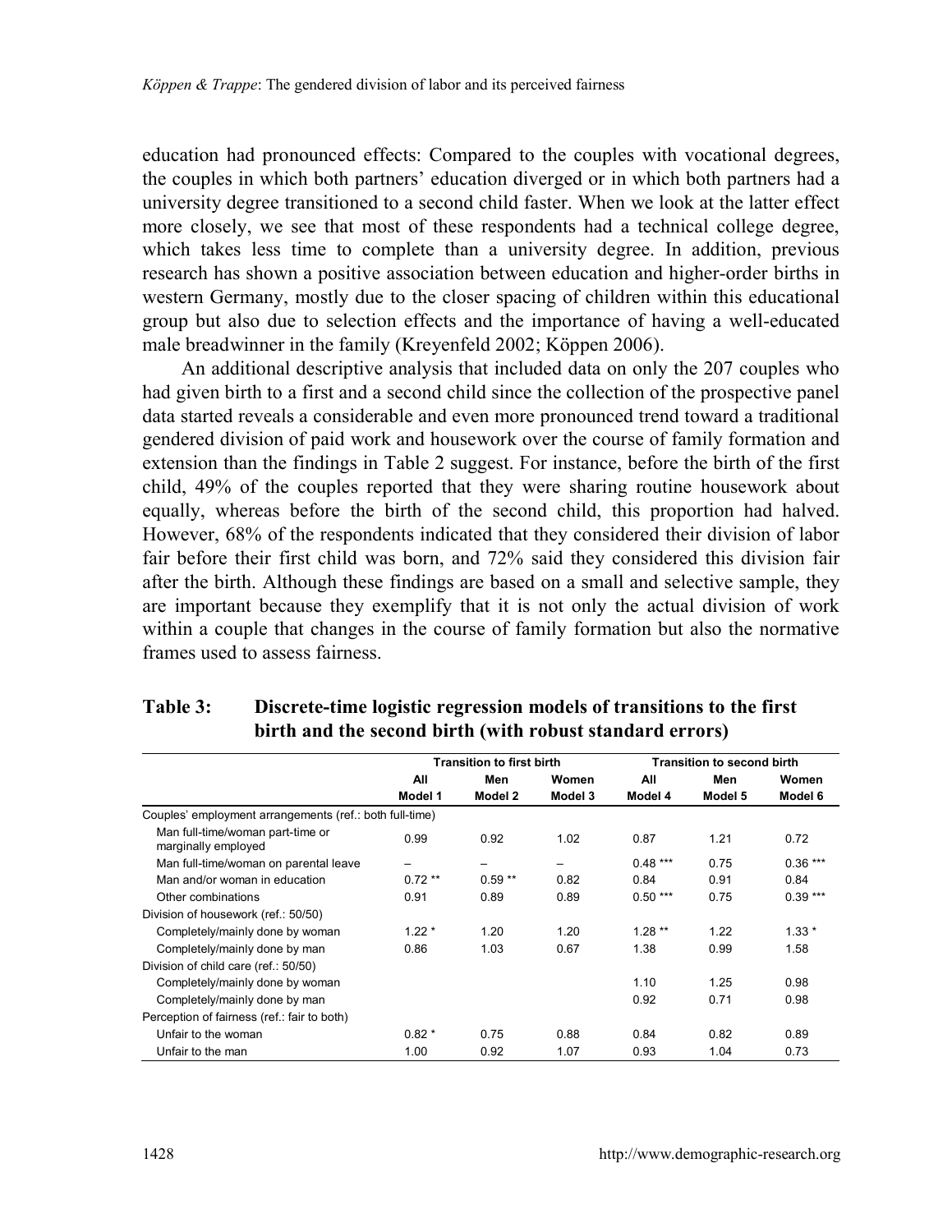education had pronounced effects: Compared to the couples with vocational degrees, the couples in which both partners' education diverged or in which both partners had a university degree transitioned to a second child faster. When we look at the latter effect more closely, we see that most of these respondents had a technical college degree, which takes less time to complete than a university degree. In addition, previous research has shown a positive association between education and higher-order births in western Germany, mostly due to the closer spacing of children within this educational group but also due to selection effects and the importance of having a well-educated male breadwinner in the family (Kreyenfeld 2002; Köppen 2006).

An additional descriptive analysis that included data on only the 207 couples who had given birth to a first and a second child since the collection of the prospective panel data started reveals a considerable and even more pronounced trend toward a traditional gendered division of paid work and housework over the course of family formation and extension than the findings in Table 2 suggest. For instance, before the birth of the first child, 49% of the couples reported that they were sharing routine housework about equally, whereas before the birth of the second child, this proportion had halved. However, 68% of the respondents indicated that they considered their division of labor fair before their first child was born, and 72% said they considered this division fair after the birth. Although these findings are based on a small and selective sample, they are important because they exemplify that it is not only the actual division of work within a couple that changes in the course of family formation but also the normative frames used to assess fairness.

|                                                         |          | <b>Transition to first birth</b> |         | <b>Transition to second birth</b> |         |           |  |
|---------------------------------------------------------|----------|----------------------------------|---------|-----------------------------------|---------|-----------|--|
|                                                         | All      | Men                              | Women   | All                               | Men     | Women     |  |
|                                                         | Model 1  | Model 2                          | Model 3 | Model 4                           | Model 5 | Model 6   |  |
| Couples' employment arrangements (ref.: both full-time) |          |                                  |         |                                   |         |           |  |
| Man full-time/woman part-time or<br>marginally employed | 0.99     | 0.92                             | 1.02    | 0.87                              | 1.21    | 0.72      |  |
| Man full-time/woman on parental leave                   | -        | -                                | -       | $0.48***$                         | 0.75    | $0.36***$ |  |
| Man and/or woman in education                           | $0.72**$ | $0.59**$                         | 0.82    | 0.84                              | 0.91    | 0.84      |  |
| Other combinations                                      | 0.91     | 0.89                             | 0.89    | $0.50***$                         | 0.75    | $0.39***$ |  |
| Division of housework (ref.: 50/50)                     |          |                                  |         |                                   |         |           |  |
| Completely/mainly done by woman                         | $1.22*$  | 1.20                             | 1.20    | $1.28**$                          | 1.22    | $1.33*$   |  |
| Completely/mainly done by man                           | 0.86     | 1.03                             | 0.67    | 1.38                              | 0.99    | 1.58      |  |
| Division of child care (ref.: 50/50)                    |          |                                  |         |                                   |         |           |  |
| Completely/mainly done by woman                         |          |                                  |         | 1.10                              | 1.25    | 0.98      |  |
| Completely/mainly done by man                           |          |                                  |         | 0.92                              | 0.71    | 0.98      |  |
| Perception of fairness (ref.: fair to both)             |          |                                  |         |                                   |         |           |  |
| Unfair to the woman                                     | $0.82*$  | 0.75                             | 0.88    | 0.84                              | 0.82    | 0.89      |  |
| Unfair to the man                                       | 1.00     | 0.92                             | 1.07    | 0.93                              | 1.04    | 0.73      |  |

## **Table 3: Discrete-time logistic regression models of transitions to the first birth and the second birth (with robust standard errors)**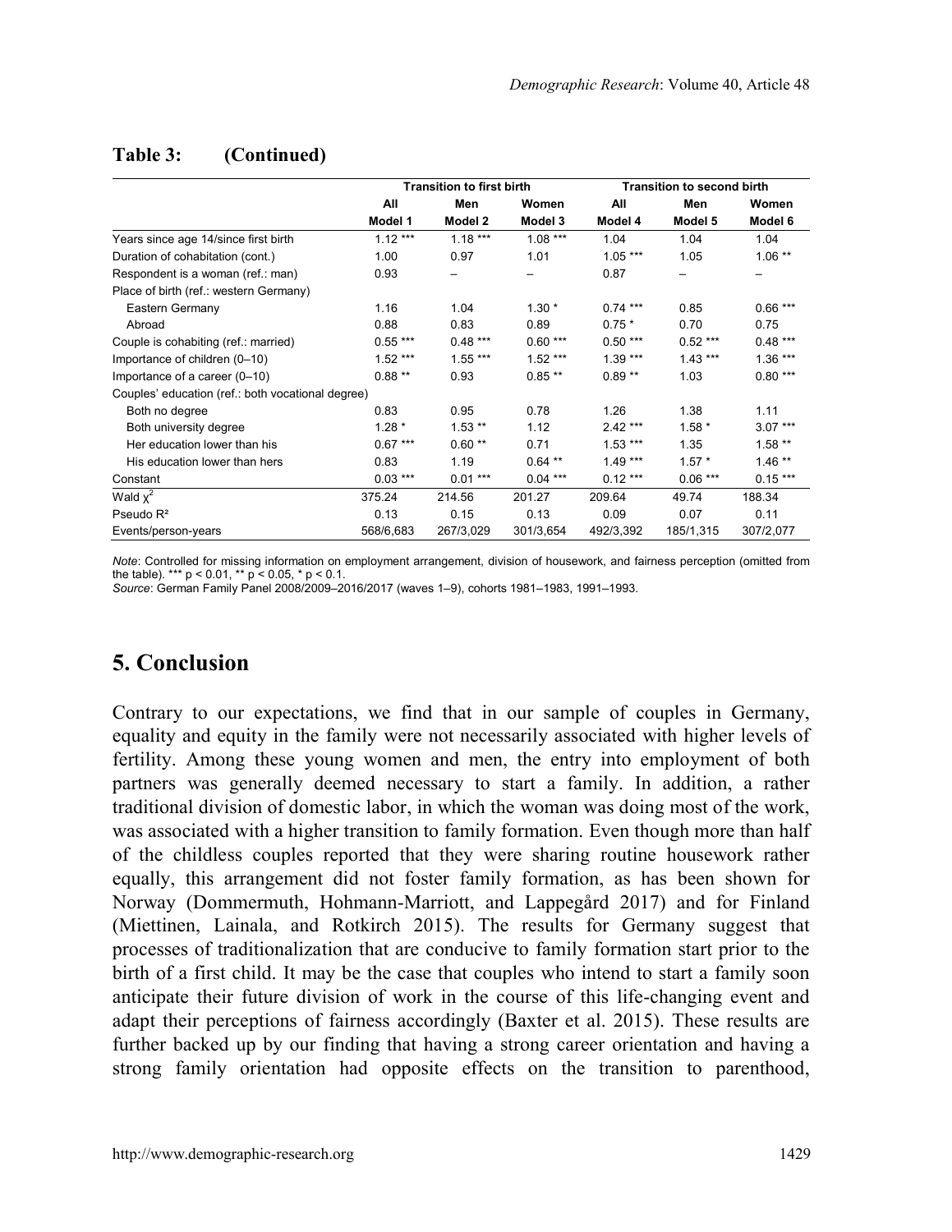|                                                   | <b>Transition to first birth</b> |           |           | <b>Transition to second birth</b> |           |           |  |
|---------------------------------------------------|----------------------------------|-----------|-----------|-----------------------------------|-----------|-----------|--|
|                                                   | All                              | Men       | Women     | All                               | Men       | Women     |  |
|                                                   | Model 1                          | Model 2   | Model 3   | Model 4                           | Model 5   | Model 6   |  |
| Years since age 14/since first birth              | $1.12***$                        | $1.18***$ | $1.08***$ | 1.04                              | 1.04      | 1.04      |  |
| Duration of cohabitation (cont.)                  | 1.00                             | 0.97      | 1.01      | $1.05***$                         | 1.05      | $1.06**$  |  |
| Respondent is a woman (ref.: man)                 | 0.93                             |           |           | 0.87                              |           | -         |  |
| Place of birth (ref.: western Germany)            |                                  |           |           |                                   |           |           |  |
| Eastern Germany                                   | 1.16                             | 1.04      | $1.30*$   | $0.74***$                         | 0.85      | $0.66***$ |  |
| Abroad                                            | 0.88                             | 0.83      | 0.89      | $0.75*$                           | 0.70      | 0.75      |  |
| Couple is cohabiting (ref.: married)              | $0.55***$                        | $0.48***$ | $0.60***$ | $0.50***$                         | $0.52***$ | $0.48***$ |  |
| Importance of children (0-10)                     | $1.52***$                        | $1.55***$ | $1.52***$ | $1.39***$                         | $1.43***$ | $1.36***$ |  |
| Importance of a career (0-10)                     | $0.88**$                         | 0.93      | $0.85**$  | $0.89**$                          | 1.03      | $0.80***$ |  |
| Couples' education (ref.: both vocational degree) |                                  |           |           |                                   |           |           |  |
| Both no degree                                    | 0.83                             | 0.95      | 0.78      | 1.26                              | 1.38      | 1.11      |  |
| Both university degree                            | $1.28*$                          | $1.53**$  | 1.12      | $2.42***$                         | $1.58*$   | $3.07***$ |  |
| Her education lower than his                      | $0.67***$                        | $0.60**$  | 0.71      | $1.53***$                         | 1.35      | $1.58**$  |  |
| His education lower than hers                     | 0.83                             | 1.19      | $0.64***$ | $1.49***$                         | $1.57*$   | $1.46**$  |  |
| Constant                                          | $0.03***$                        | $0.01***$ | $0.04***$ | $0.12***$                         | $0.06***$ | $0.15***$ |  |
| Wald $x^2$                                        | 375.24                           | 214.56    | 201.27    | 209.64                            | 49.74     | 188.34    |  |
| Pseudo $R^2$                                      | 0.13                             | 0.15      | 0.13      | 0.09                              | 0.07      | 0.11      |  |
| Events/person-years                               | 568/6,683                        | 267/3,029 | 301/3,654 | 492/3,392                         | 185/1,315 | 307/2,077 |  |

## **Table 3: (Continued)**

*Note*: Controlled for missing information on employment arrangement, division of housework, and fairness perception (omitted from the table). \*\*\* p < 0.01, \*\* p < 0.05, \* p < 0.1. *Source*: German Family Panel 2008/2009–2016/2017 (waves 1–9), cohorts 1981–1983, 1991–1993.

## **5. Conclusion**

Contrary to our expectations, we find that in our sample of couples in Germany, equality and equity in the family were not necessarily associated with higher levels of fertility. Among these young women and men, the entry into employment of both partners was generally deemed necessary to start a family. In addition, a rather traditional division of domestic labor, in which the woman was doing most of the work, was associated with a higher transition to family formation. Even though more than half of the childless couples reported that they were sharing routine housework rather equally, this arrangement did not foster family formation, as has been shown for Norway (Dommermuth, Hohmann-Marriott, and Lappegård 2017) and for Finland (Miettinen, Lainala, and Rotkirch 2015). The results for Germany suggest that processes of traditionalization that are conducive to family formation start prior to the birth of a first child. It may be the case that couples who intend to start a family soon anticipate their future division of work in the course of this life-changing event and adapt their perceptions of fairness accordingly (Baxter et al. 2015). These results are further backed up by our finding that having a strong career orientation and having a strong family orientation had opposite effects on the transition to parenthood,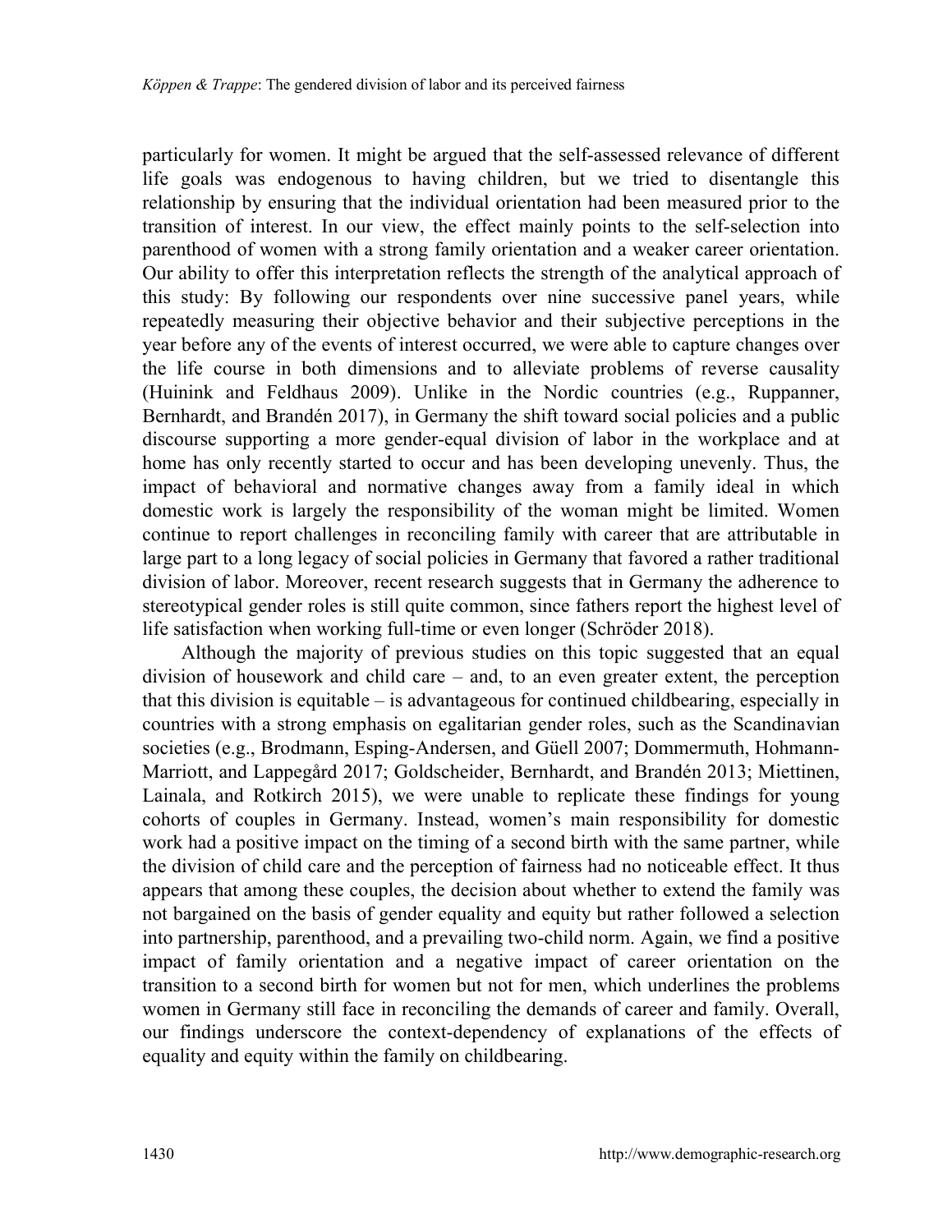particularly for women. It might be argued that the self-assessed relevance of different life goals was endogenous to having children, but we tried to disentangle this relationship by ensuring that the individual orientation had been measured prior to the transition of interest. In our view, the effect mainly points to the self-selection into parenthood of women with a strong family orientation and a weaker career orientation. Our ability to offer this interpretation reflects the strength of the analytical approach of this study: By following our respondents over nine successive panel years, while repeatedly measuring their objective behavior and their subjective perceptions in the year before any of the events of interest occurred, we were able to capture changes over the life course in both dimensions and to alleviate problems of reverse causality (Huinink and Feldhaus 2009). Unlike in the Nordic countries (e.g., Ruppanner, Bernhardt, and Brandén 2017), in Germany the shift toward social policies and a public discourse supporting a more gender-equal division of labor in the workplace and at home has only recently started to occur and has been developing unevenly. Thus, the impact of behavioral and normative changes away from a family ideal in which domestic work is largely the responsibility of the woman might be limited. Women continue to report challenges in reconciling family with career that are attributable in large part to a long legacy of social policies in Germany that favored a rather traditional division of labor. Moreover, recent research suggests that in Germany the adherence to stereotypical gender roles is still quite common, since fathers report the highest level of life satisfaction when working full-time or even longer (Schröder 2018).

Although the majority of previous studies on this topic suggested that an equal division of housework and child care – and, to an even greater extent, the perception that this division is equitable – is advantageous for continued childbearing, especially in countries with a strong emphasis on egalitarian gender roles, such as the Scandinavian societies (e.g., Brodmann, Esping-Andersen, and Güell 2007; Dommermuth, Hohmann-Marriott, and Lappegård 2017; Goldscheider, Bernhardt, and Brandén 2013; Miettinen, Lainala, and Rotkirch 2015), we were unable to replicate these findings for young cohorts of couples in Germany. Instead, women's main responsibility for domestic work had a positive impact on the timing of a second birth with the same partner, while the division of child care and the perception of fairness had no noticeable effect. It thus appears that among these couples, the decision about whether to extend the family was not bargained on the basis of gender equality and equity but rather followed a selection into partnership, parenthood, and a prevailing two-child norm. Again, we find a positive impact of family orientation and a negative impact of career orientation on the transition to a second birth for women but not for men, which underlines the problems women in Germany still face in reconciling the demands of career and family. Overall, our findings underscore the context-dependency of explanations of the effects of equality and equity within the family on childbearing.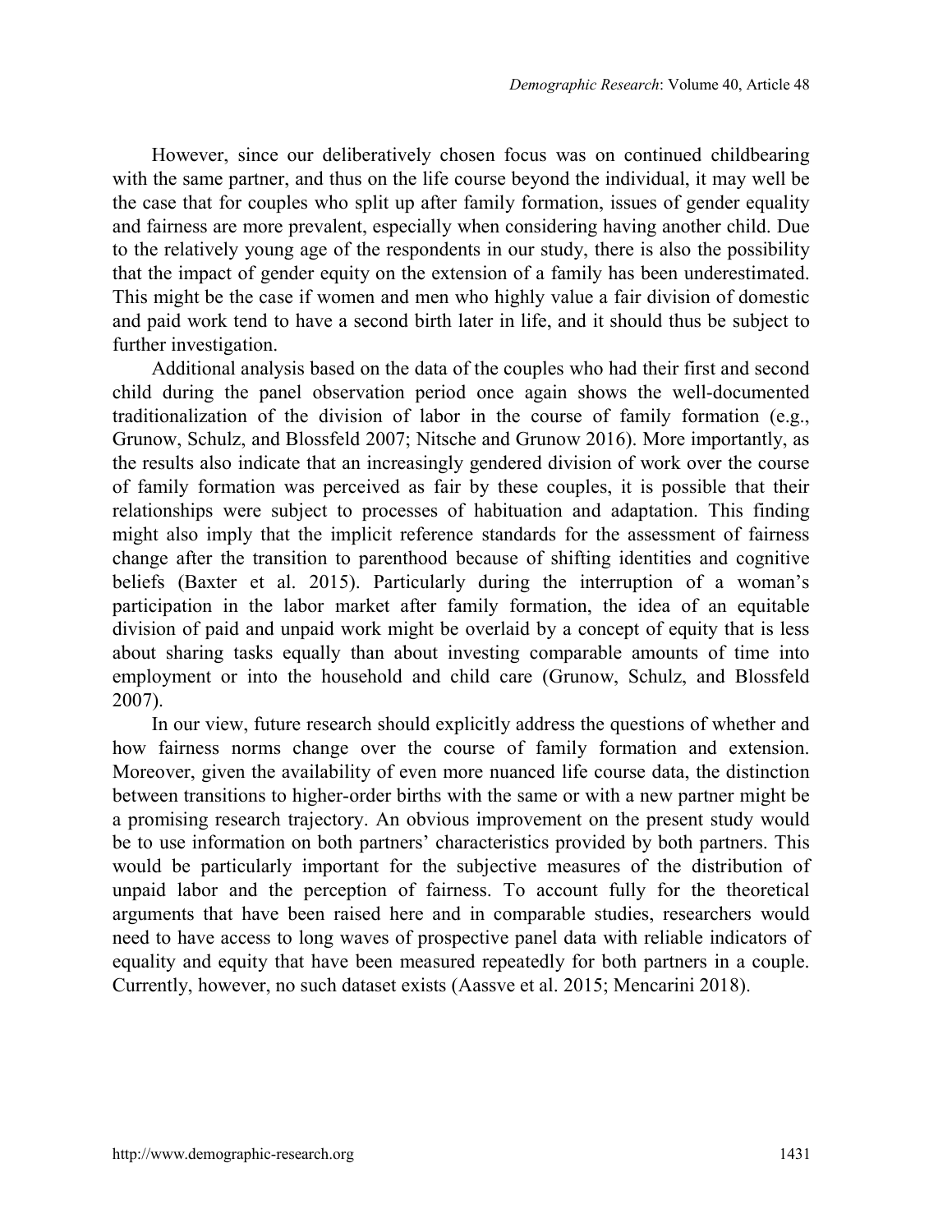However, since our deliberatively chosen focus was on continued childbearing with the same partner, and thus on the life course beyond the individual, it may well be the case that for couples who split up after family formation, issues of gender equality and fairness are more prevalent, especially when considering having another child. Due to the relatively young age of the respondents in our study, there is also the possibility that the impact of gender equity on the extension of a family has been underestimated. This might be the case if women and men who highly value a fair division of domestic and paid work tend to have a second birth later in life, and it should thus be subject to further investigation.

Additional analysis based on the data of the couples who had their first and second child during the panel observation period once again shows the well-documented traditionalization of the division of labor in the course of family formation (e.g., Grunow, Schulz, and Blossfeld 2007; Nitsche and Grunow 2016). More importantly, as the results also indicate that an increasingly gendered division of work over the course of family formation was perceived as fair by these couples, it is possible that their relationships were subject to processes of habituation and adaptation. This finding might also imply that the implicit reference standards for the assessment of fairness change after the transition to parenthood because of shifting identities and cognitive beliefs (Baxter et al. 2015). Particularly during the interruption of a woman's participation in the labor market after family formation, the idea of an equitable division of paid and unpaid work might be overlaid by a concept of equity that is less about sharing tasks equally than about investing comparable amounts of time into employment or into the household and child care (Grunow, Schulz, and Blossfeld 2007).

In our view, future research should explicitly address the questions of whether and how fairness norms change over the course of family formation and extension. Moreover, given the availability of even more nuanced life course data, the distinction between transitions to higher-order births with the same or with a new partner might be a promising research trajectory. An obvious improvement on the present study would be to use information on both partners' characteristics provided by both partners. This would be particularly important for the subjective measures of the distribution of unpaid labor and the perception of fairness. To account fully for the theoretical arguments that have been raised here and in comparable studies, researchers would need to have access to long waves of prospective panel data with reliable indicators of equality and equity that have been measured repeatedly for both partners in a couple. Currently, however, no such dataset exists (Aassve et al. 2015; Mencarini 2018).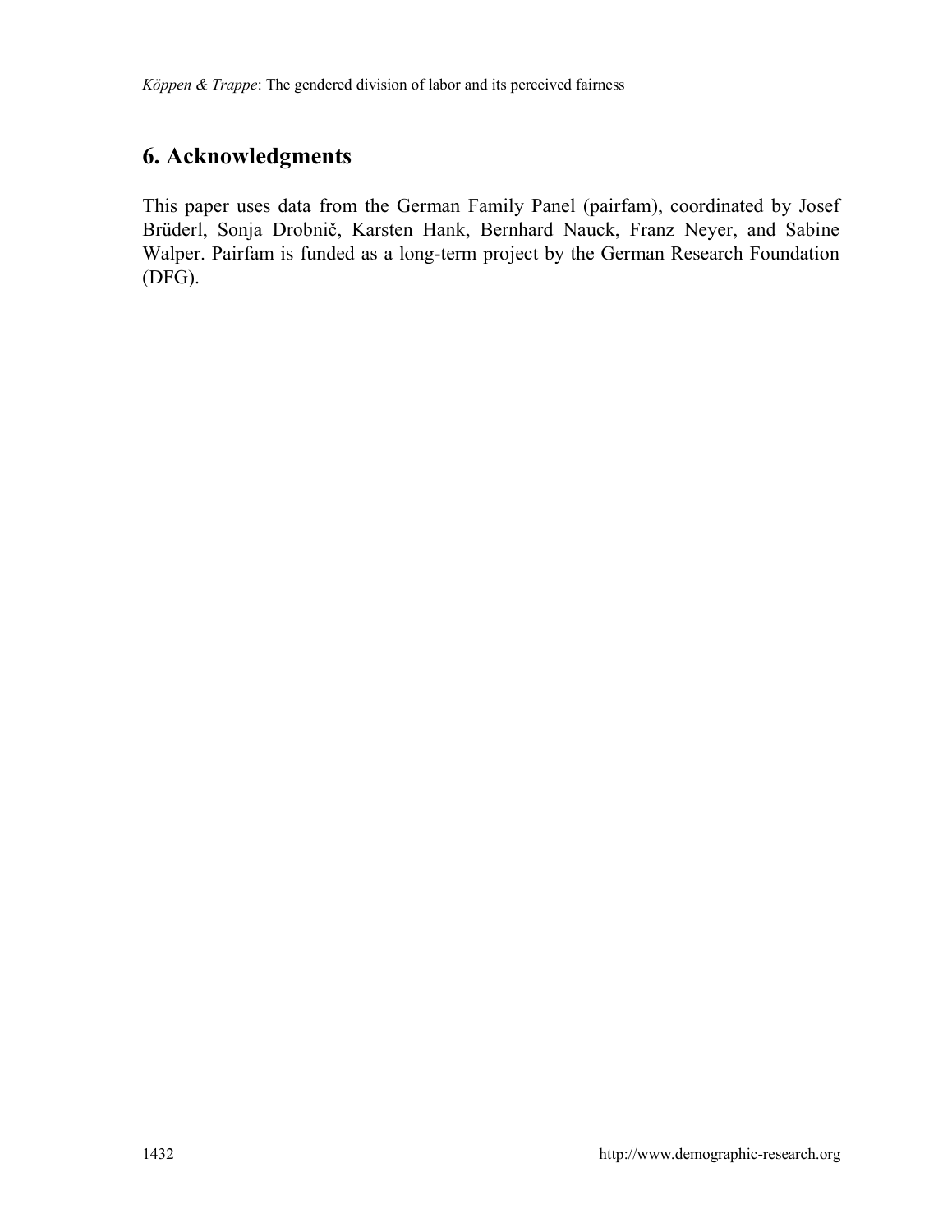# **6. Acknowledgments**

This paper uses data from the German Family Panel (pairfam), coordinated by Josef Brüderl, Sonja Drobnič, Karsten Hank, Bernhard Nauck, Franz Neyer, and Sabine Walper. Pairfam is funded as a long-term project by the German Research Foundation (DFG).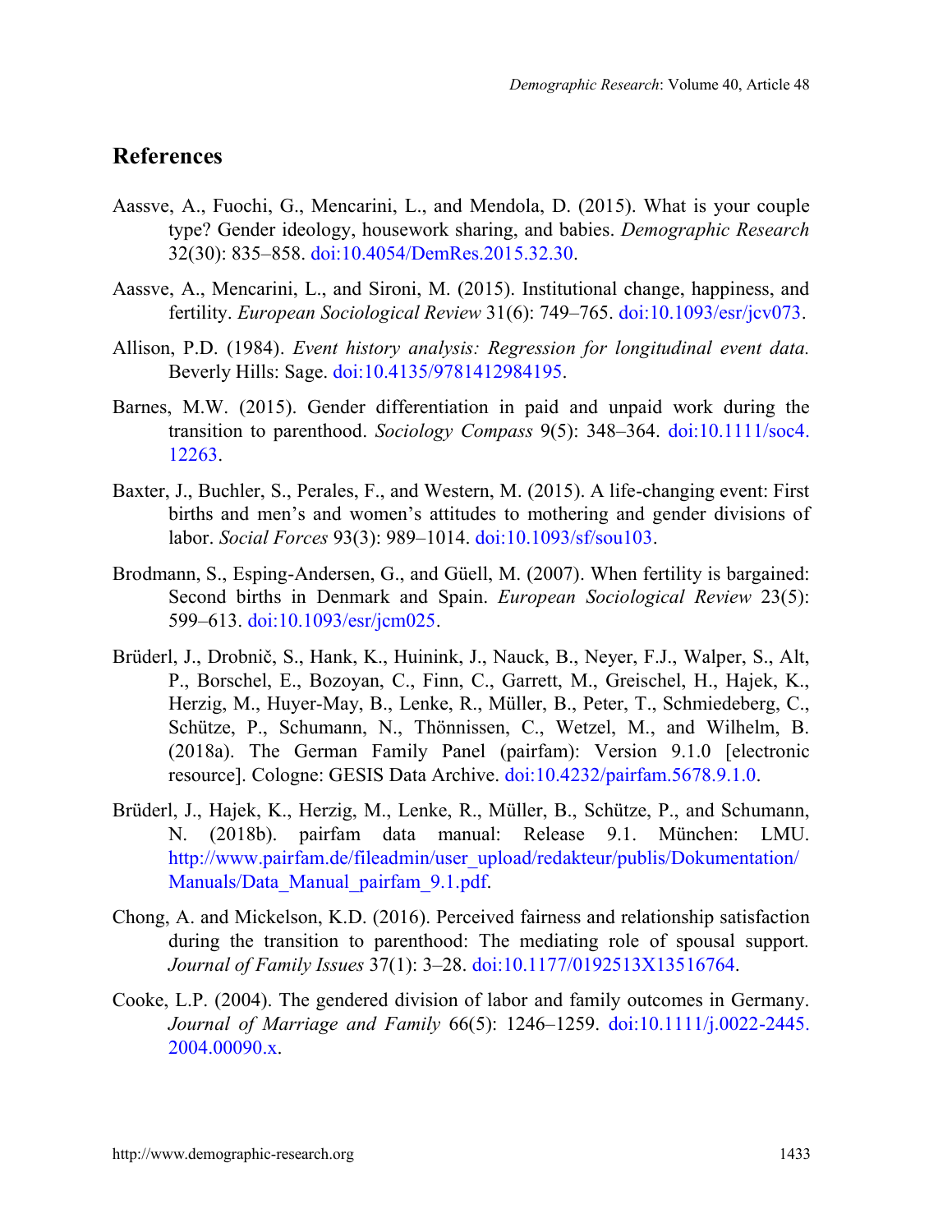## **References**

- Aassve, A., Fuochi, G., Mencarini, L., and Mendola, D. (2015). What is your couple type? Gender ideology, housework sharing, and babies. *Demographic Research* 32(30): 835–858. [doi:10.4054/DemRes.2015.32.30.](https://doi.org/10.4054/DemRes.2015.32.30)
- Aassve, A., Mencarini, L., and Sironi, M. (2015). Institutional change, happiness, and fertility. *European Sociological Review* 31(6): 749–765. [doi:10.1093/esr/jcv073.](https://doi.org/10.1093/esr/jcv073)
- Allison, P.D. (1984). *Event history analysis: Regression for longitudinal event data.* Beverly Hills: Sage. [doi:10.4135/9781412984195.](https://doi.org/10.4135/9781412984195)
- Barnes, M.W. (2015). Gender differentiation in paid and unpaid work during the transition to parenthood. *Sociology Compass* 9(5): 348–364. [doi:10.1111/soc4.](https://doi.org/10.1111/soc4.12263) [12263.](https://doi.org/10.1111/soc4.12263)
- Baxter, J., Buchler, S., Perales, F., and Western, M. (2015). A life-changing event: First births and men's and women's attitudes to mothering and gender divisions of labor. *Social Forces* 93(3): 989–1014. [doi:10.1093/sf/sou103.](https://doi.org/10.1093/sf/sou103)
- Brodmann, S., Esping-Andersen, G., and Güell, M. (2007). When fertility is bargained: Second births in Denmark and Spain. *European Sociological Review* 23(5): 599–613. [doi:10.1093/esr/jcm025.](https://doi.org/10.1093/esr/jcm025)
- Brüderl, J., Drobnič, S., Hank, K., Huinink, J., Nauck, B., Neyer, F.J., Walper, S., Alt, P., Borschel, E., Bozoyan, C., Finn, C., Garrett, M., Greischel, H., Hajek, K., Herzig, M., Huyer-May, B., Lenke, R., Müller, B., Peter, T., Schmiedeberg, C., Schütze, P., Schumann, N., Thönnissen, C., Wetzel, M., and Wilhelm, B. (2018a). The German Family Panel (pairfam): Version 9.1.0 [electronic resource]. Cologne: GESIS Data Archive. [doi:10.4232/pairfam.5678.9.1.0.](https://doi.org/10.4232/pairfam.5678.9.1.0)
- Brüderl, J., Hajek, K., Herzig, M., Lenke, R., Müller, B., Schütze, P., and Schumann, N. (2018b). pairfam data manual: Release 9.1. München: LMU. [http://www.pairfam.de/fileadmin/user\\_upload/redakteur/publis/Dokumentation/](http://www.pairfam.de/fileadmin/user_upload/redakteur/publis/Dokumentation/Manuals/Data_Manual_pairfam_9.1.pdf) Manuals/Data Manual pairfam 9.1.pdf.
- Chong, A. and Mickelson, K.D. (2016). Perceived fairness and relationship satisfaction during the transition to parenthood: The mediating role of spousal support*. Journal of Family Issues* 37(1): 3–28. [doi:10.1177/0192513X13516764.](https://doi.org/10.1177/0192513X13516764)
- Cooke, L.P. (2004). The gendered division of labor and family outcomes in Germany. *Journal of Marriage and Family* 66(5): 1246–1259. [doi:10.1111/j.0022-2445.](https://doi.org/10.1111/j.0022-2445.2004.00090.x) [2004.00090.x.](https://doi.org/10.1111/j.0022-2445.2004.00090.x)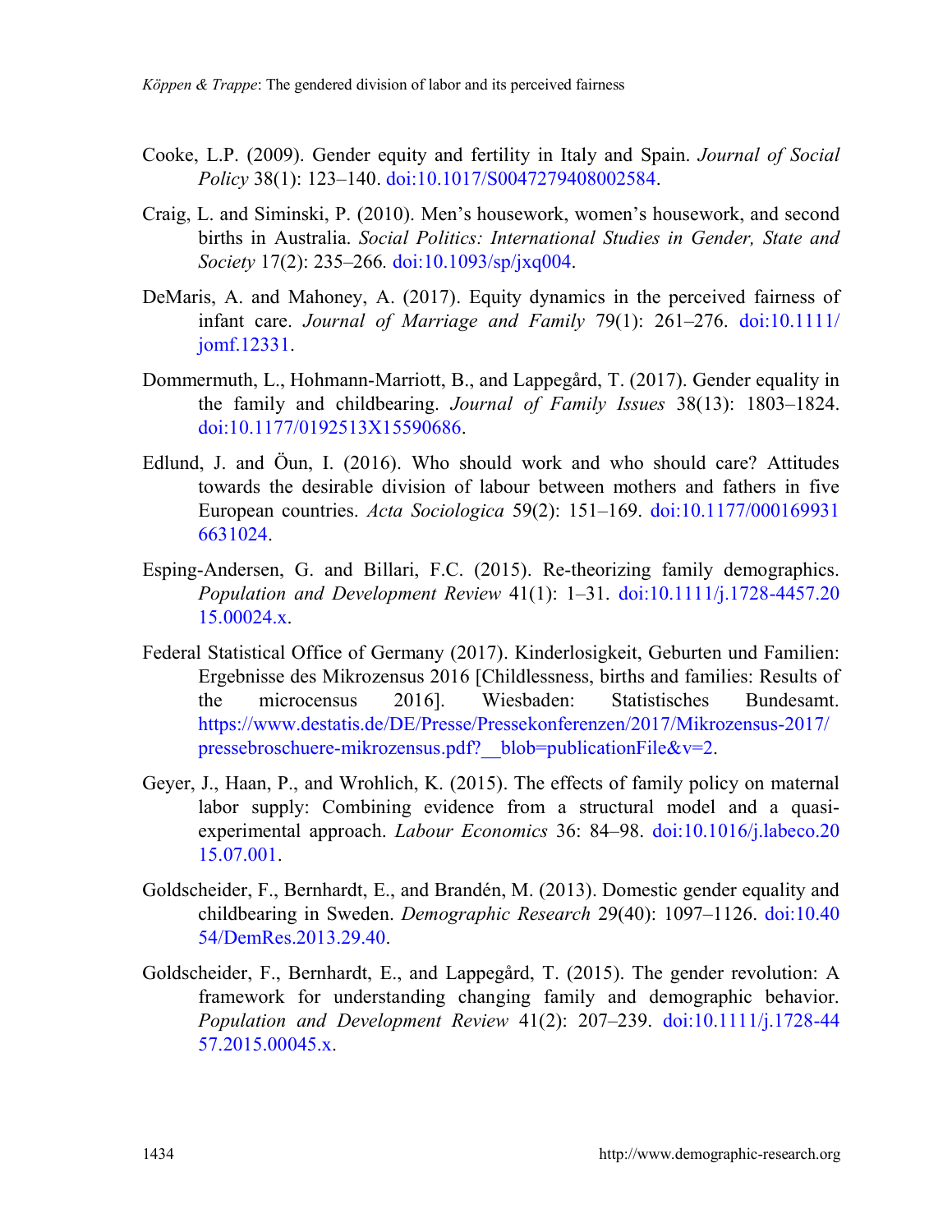- Cooke, L.P. (2009). Gender equity and fertility in Italy and Spain. *Journal of Social Policy* 38(1): 123–140. [doi:10.1017/S0047279408002584.](https://doi.org/10.1017/S0047279408002584)
- Craig, L. and Siminski, P. (2010). Men's housework, women's housework, and second births in Australia. *Social Politics: International Studies in Gender, State and Society* 17(2): 235–266*.* [doi:10.1093/sp/jxq004.](https://doi.org/10.1093/sp/jxq004)
- DeMaris, A. and Mahoney, A. (2017). Equity dynamics in the perceived fairness of infant care. *Journal of Marriage and Family* 79(1): 261–276. [doi:10.1111/](https://doi.org/10.1111/jomf.12331) iomf.12331.
- Dommermuth, L., Hohmann-Marriott, B., and Lappegård, T. (2017). Gender equality in the family and childbearing. *Journal of Family Issues* 38(13): 1803–1824. [doi:10.1177/0192513X15590686.](https://doi.org/10.1177/0192513X15590686)
- Edlund, J. and Öun, I. (2016). Who should work and who should care? Attitudes towards the desirable division of labour between mothers and fathers in five European countries. *Acta Sociologica* 59(2): 151–169. [doi:10.1177/000169931](https://doi.org/10.1177/0001699316631024) [6631024.](https://doi.org/10.1177/0001699316631024)
- Esping-Andersen, G. and Billari, F.C. (2015). Re-theorizing family demographics. *Population and Development Review* 41(1): 1–31. [doi:10.1111/j.1728-4457.20](https://doi.org/10.1111/j.1728-4457.2015.00024.x) [15.00024.x.](https://doi.org/10.1111/j.1728-4457.2015.00024.x)
- Federal Statistical Office of Germany (2017). Kinderlosigkeit, Geburten und Familien: Ergebnisse des Mikrozensus 2016 [Childlessness, births and families: Results of the microcensus 2016]. Wiesbaden: Statistisches Bundesamt. [https://www.destatis.de/DE/Presse/Pressekonferenzen/2017/Mikrozensus-2017/](https://www.destatis.de/DE/Presse/Pressekonferenzen/2017/Mikrozensus-2017/pressebroschuere-mikrozensus.pdf?__blob=publicationFile&v=2) pressebroschuere-mikrozensus.pdf? blob=publicationFile&v=2.
- Geyer, J., Haan, P., and Wrohlich, K. (2015). The effects of family policy on maternal labor supply: Combining evidence from a structural model and a quasiexperimental approach. *Labour Economics* 36: 84–98. [doi:10.1016/j.labeco.20](https://doi.org/10.1016/j.labeco.2015.07.001) [15.07.001.](https://doi.org/10.1016/j.labeco.2015.07.001)
- Goldscheider, F., Bernhardt, E., and Brandén, M. (2013). Domestic gender equality and childbearing in Sweden. *Demographic Research* 29(40): 1097–1126. [doi:10.40](https://doi.org/10.4054/DemRes.2013.29.40) [54/DemRes.2013.29.40.](https://doi.org/10.4054/DemRes.2013.29.40)
- Goldscheider, F., Bernhardt, E., and Lappegård, T. (2015). The gender revolution: A framework for understanding changing family and demographic behavior. *Population and Development Review* 41(2): 207–239. [doi:10.1111/j.1728-44](https://doi.org/10.1111/j.1728-4457.2015.00045.x) [57.2015.00045.x.](https://doi.org/10.1111/j.1728-4457.2015.00045.x)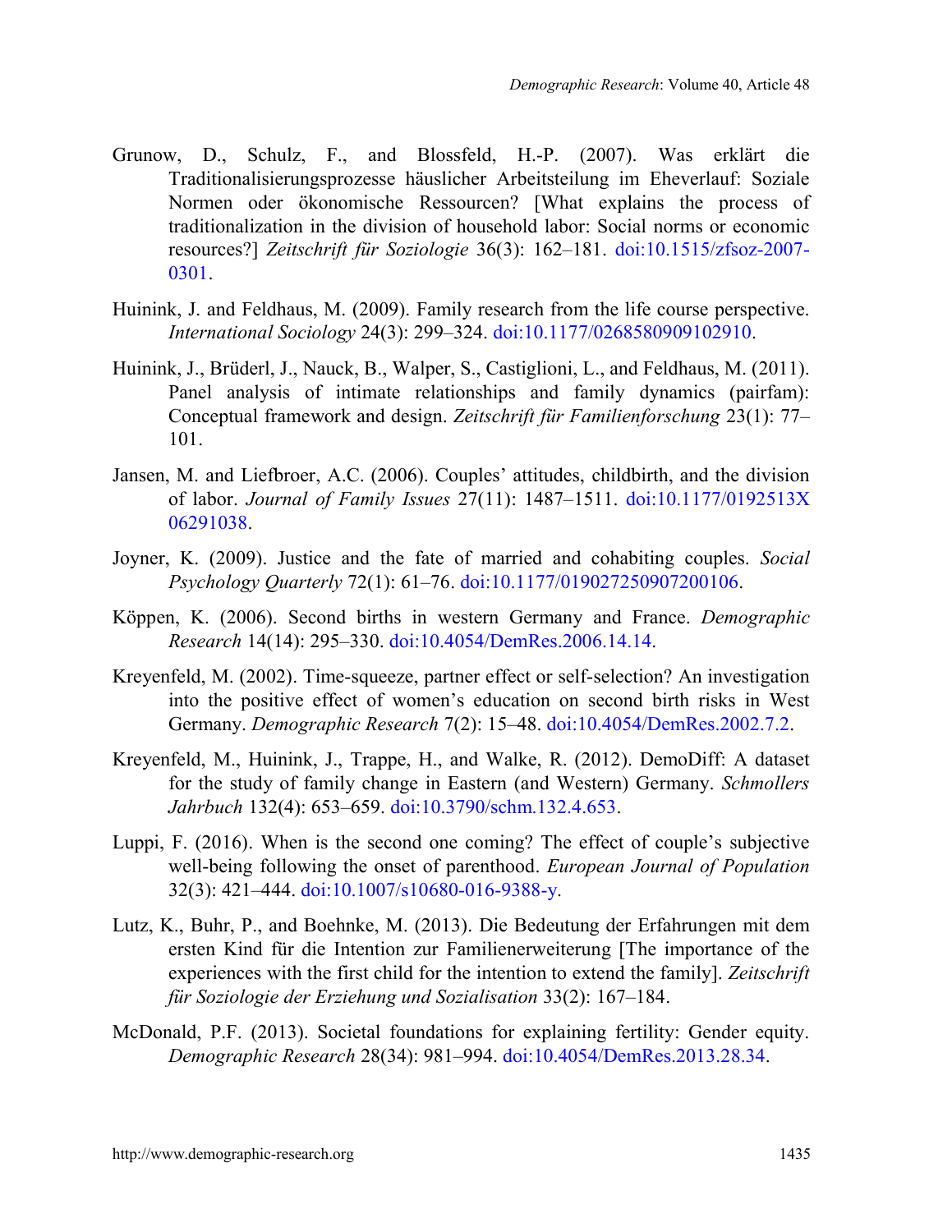- Grunow, D., Schulz, F., and Blossfeld, H.-P. (2007). Was erklärt die Traditionalisierungsprozesse häuslicher Arbeitsteilung im Eheverlauf: Soziale Normen oder ökonomische Ressourcen? [What explains the process of traditionalization in the division of household labor: Social norms or economic resources?] *Zeitschrift für Soziologie* 36(3): 162–181. [doi:10.1515/zfsoz-2007-](https://doi.org/10.1515/zfsoz-2007-0301) [0301.](https://doi.org/10.1515/zfsoz-2007-0301)
- Huinink, J. and Feldhaus, M. (2009). Family research from the life course perspective. *International Sociology* 24(3): 299–324. [doi:10.1177/0268580909102910.](https://doi.org/10.1177/0268580909102910)
- Huinink, J., Brüderl, J., Nauck, B., Walper, S., Castiglioni, L., and Feldhaus, M. (2011). Panel analysis of intimate relationships and family dynamics (pairfam): Conceptual framework and design. *Zeitschrift für Familienforschung* 23(1): 77– 101.
- Jansen, M. and Liefbroer, A.C. (2006). Couples' attitudes, childbirth, and the division of labor. *Journal of Family Issues* 27(11): 1487–1511. [doi:10.1177/0192513X](https://doi.org/10.1177/0192513X06291038) [06291038.](https://doi.org/10.1177/0192513X06291038)
- Joyner, K. (2009). Justice and the fate of married and cohabiting couples. *Social Psychology Quarterly* 72(1): 61–76. [doi:10.1177/019027250907200106.](https://doi.org/10.1177/019027250907200106)
- Köppen, K. (2006). Second births in western Germany and France. *Demographic Research* 14(14): 295–330. [doi:10.4054/DemRes.2006.14.14.](https://doi.org/10.4054/DemRes.2006.14.14)
- Kreyenfeld, M. (2002). Time-squeeze, partner effect or self-selection? An investigation into the positive effect of women's education on second birth risks in West Germany. *Demographic Research* 7(2): 15–48. [doi:10.4054/DemRes.2002.7.2.](https://doi.org/10.4054/DemRes.2002.7.2)
- Kreyenfeld, M., Huinink, J., Trappe, H., and Walke, R. (2012). DemoDiff: A dataset for the study of family change in Eastern (and Western) Germany. *Schmollers Jahrbuch* 132(4): 653–659. [doi:10.3790/schm.132.4.653.](https://doi.org/10.3790/schm.132.4.653)
- Luppi, F. (2016). When is the second one coming? The effect of couple's subjective well-being following the onset of parenthood. *European Journal of Population* 32(3): 421–444. [doi:10.1007/s10680-016-9388-y.](https://doi.org/10.1007/s10680-016-9388-y)
- Lutz, K., Buhr, P., and Boehnke, M. (2013). Die Bedeutung der Erfahrungen mit dem ersten Kind für die Intention zur Familienerweiterung [The importance of the experiences with the first child for the intention to extend the family]. *Zeitschrift für Soziologie der Erziehung und Sozialisation* 33(2): 167–184.
- McDonald, P.F. (2013). Societal foundations for explaining fertility: Gender equity. *Demographic Research* 28(34): 981–994. [doi:10.4054/DemRes.2013.28.34.](https://doi.org/10.4054/DemRes.2013.28.34)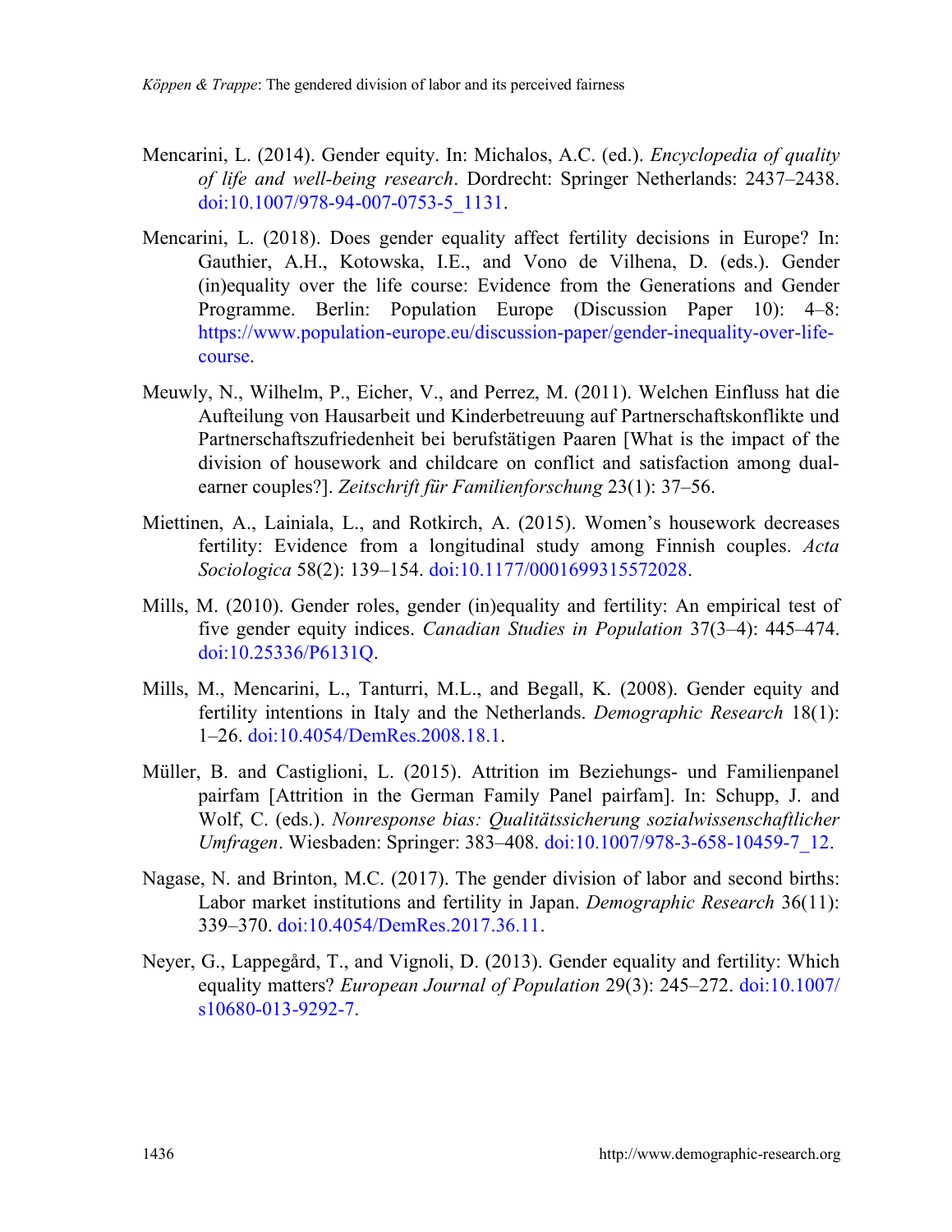- Mencarini, L. (2014). Gender equity. In: Michalos, A.C. (ed.). *Encyclopedia of quality of life and well-being research*. Dordrecht: Springer Netherlands: 2437–2438. [doi:10.1007/978-94-007-0753-5\\_1131.](https://doi.org/10.1007/978-94-007-0753-5_1131)
- Mencarini, L. (2018). Does gender equality affect fertility decisions in Europe? In: Gauthier, A.H., Kotowska, I.E., and Vono de Vilhena, D. (eds.). Gender (in)equality over the life course: Evidence from the Generations and Gender Programme. Berlin: Population Europe (Discussion Paper 10): 4–8: [https://www.population-europe.eu/discussion-paper/gender-inequality-over-life](https://www.population-europe.eu/discussion-paper/gender-inequality-over-life-course)[course.](https://www.population-europe.eu/discussion-paper/gender-inequality-over-life-course)
- Meuwly, N., Wilhelm, P., Eicher, V., and Perrez, M. (2011). Welchen Einfluss hat die Aufteilung von Hausarbeit und Kinderbetreuung auf Partnerschaftskonflikte und Partnerschaftszufriedenheit bei berufstätigen Paaren [What is the impact of the division of housework and childcare on conflict and satisfaction among dualearner couples?]. *Zeitschrift für Familienforschung* 23(1): 37–56.
- Miettinen, A., Lainiala, L., and Rotkirch, A. (2015). Women's housework decreases fertility: Evidence from a longitudinal study among Finnish couples. *Acta Sociologica* 58(2): 139–154. [doi:10.1177/0001699315572028.](https://doi.org/10.1177/0001699315572028)
- Mills, M. (2010). Gender roles, gender (in)equality and fertility: An empirical test of five gender equity indices. *Canadian Studies in Population* 37(3–4): 445–474. [doi:10.25336/P6131Q.](https://doi.org/10.25336/P6131Q)
- Mills, M., Mencarini, L., Tanturri, M.L., and Begall, K. (2008). Gender equity and fertility intentions in Italy and the Netherlands. *Demographic Research* 18(1): 1–26. [doi:10.4054/DemRes.2008.18.1.](https://doi.org/10.4054/DemRes.2008.18.1)
- Müller, B. and Castiglioni, L. (2015). Attrition im Beziehungs- und Familienpanel pairfam [Attrition in the German Family Panel pairfam]. In: Schupp, J. and Wolf, C. (eds.). *Nonresponse bias: Qualitätssicherung sozialwissenschaftlicher Umfragen*. Wiesbaden: Springer: 383–408. [doi:10.1007/978-3-658-10459-7\\_12.](https://doi.org/10.1007/978-3-658-10459-7_12)
- Nagase, N. and Brinton, M.C. (2017). The gender division of labor and second births: Labor market institutions and fertility in Japan. *Demographic Research* 36(11): 339–370. [doi:10.4054/DemRes.2017.36.11.](https://doi.org/10.4054/DemRes.2017.36.11)
- Neyer, G., Lappegård, T., and Vignoli, D. (2013). Gender equality and fertility: Which equality matters? *European Journal of Population* 29(3): 245–272. [doi:10.1007/](https://doi.org/10.1007/s10680-013-9292-7) [s10680-013-9292-7.](https://doi.org/10.1007/s10680-013-9292-7)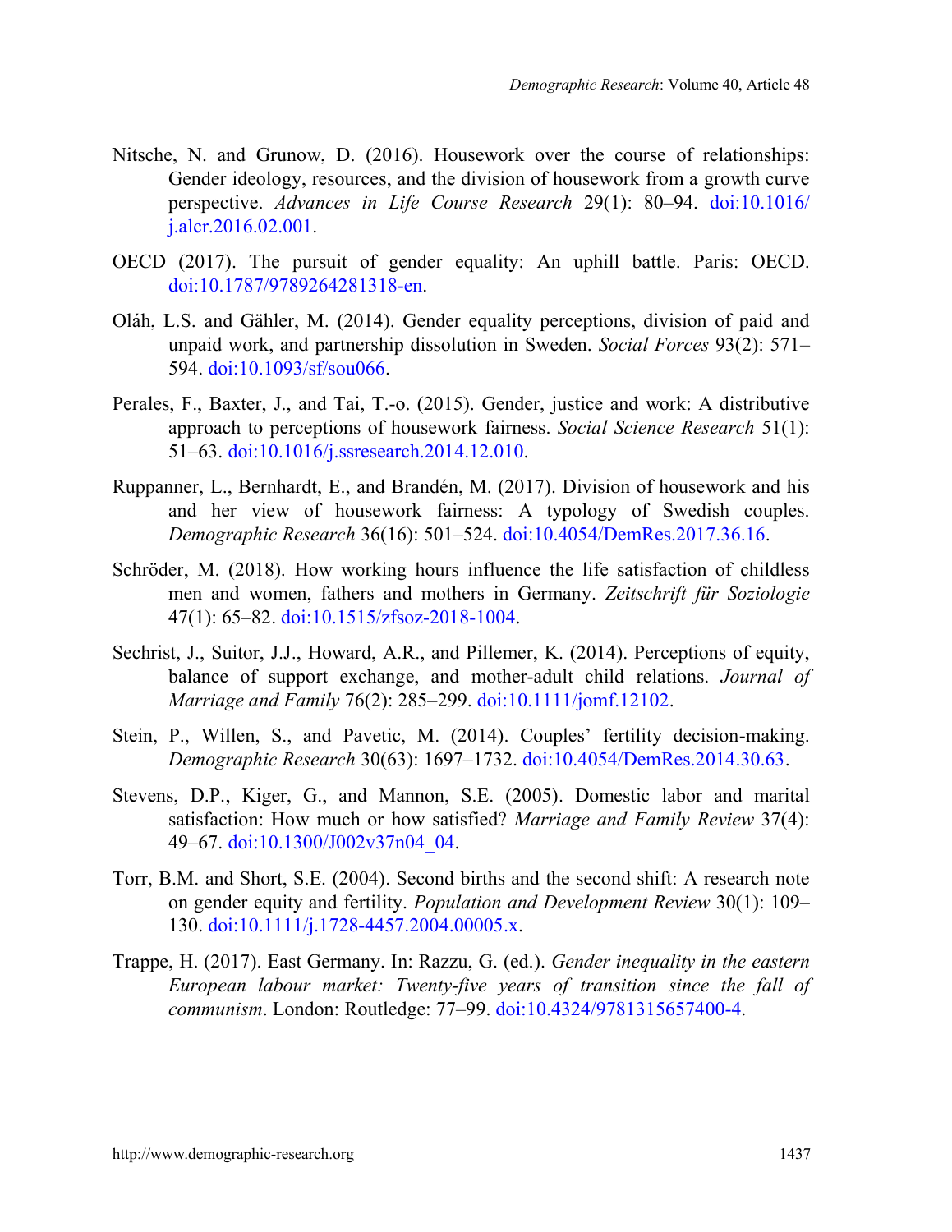- Nitsche, N. and Grunow, D. (2016). Housework over the course of relationships: Gender ideology, resources, and the division of housework from a growth curve perspective. *Advances in Life Course Research* 29(1): 80–94. [doi:10.1016/](https://doi.org/10.1016/j.alcr.2016.02.001) [j.alcr.2016.02.001.](https://doi.org/10.1016/j.alcr.2016.02.001)
- OECD (2017). The pursuit of gender equality: An uphill battle. Paris: OECD. [doi:10.1787/9789264281318-en.](https://doi.org/10.1787/9789264281318-en)
- Oláh, L.S. and Gähler, M. (2014). Gender equality perceptions, division of paid and unpaid work, and partnership dissolution in Sweden. *Social Forces* 93(2): 571– 594. [doi:10.1093/sf/sou066.](https://doi.org/10.1093/sf/sou066)
- Perales, F., Baxter, J., and Tai, T.-o. (2015). Gender, justice and work: A distributive approach to perceptions of housework fairness. *Social Science Research* 51(1): 51–63. [doi:10.1016/j.ssresearch.2014.12.010.](https://doi.org/10.1016/j.ssresearch.2014.12.010)
- Ruppanner, L., Bernhardt, E., and Brandén, M. (2017). Division of housework and his and her view of housework fairness: A typology of Swedish couples. *Demographic Research* 36(16): 501–524. [doi:10.4054/DemRes.2017.36.16.](https://doi.org/10.4054/DemRes.2017.36.16)
- Schröder, M. (2018). How working hours influence the life satisfaction of childless men and women, fathers and mothers in Germany. *Zeitschrift für Soziologie* 47(1): 65–82. [doi:10.1515/zfsoz-2018-1004.](https://doi.org/10.1515/zfsoz-2018-1004)
- Sechrist, J., Suitor, J.J., Howard, A.R., and Pillemer, K. (2014). Perceptions of equity, balance of support exchange, and mother-adult child relations. *Journal of Marriage and Family* 76(2): 285–299. [doi:10.1111/jomf.12102.](https://doi.org/10.1111/jomf.12102)
- Stein, P., Willen, S., and Pavetic, M. (2014). Couples' fertility decision-making. *Demographic Research* 30(63): 1697–1732. [doi:10.4054/DemRes.2014.30.63.](https://doi.org/10.4054/DemRes.2014.30.63)
- Stevens, D.P., Kiger, G., and Mannon, S.E. (2005). Domestic labor and marital satisfaction: How much or how satisfied? *Marriage and Family Review* 37(4): 49–67. [doi:10.1300/J002v37n04\\_04.](https://doi.org/10.1300/J002v37n04_04)
- Torr, B.M. and Short, S.E. (2004). Second births and the second shift: A research note on gender equity and fertility. *Population and Development Review* 30(1): 109– 130. [doi:10.1111/j.1728-4457.2004.00005.x.](https://doi.org/10.1111/j.1728-4457.2004.00005.x)
- Trappe, H. (2017). East Germany. In: Razzu, G. (ed.). *Gender inequality in the eastern European labour market: Twenty-five years of transition since the fall of communism*. London: Routledge: 77–99. [doi:10.4324/9781315657400-4.](https://doi.org/10.4324/9781315657400-4)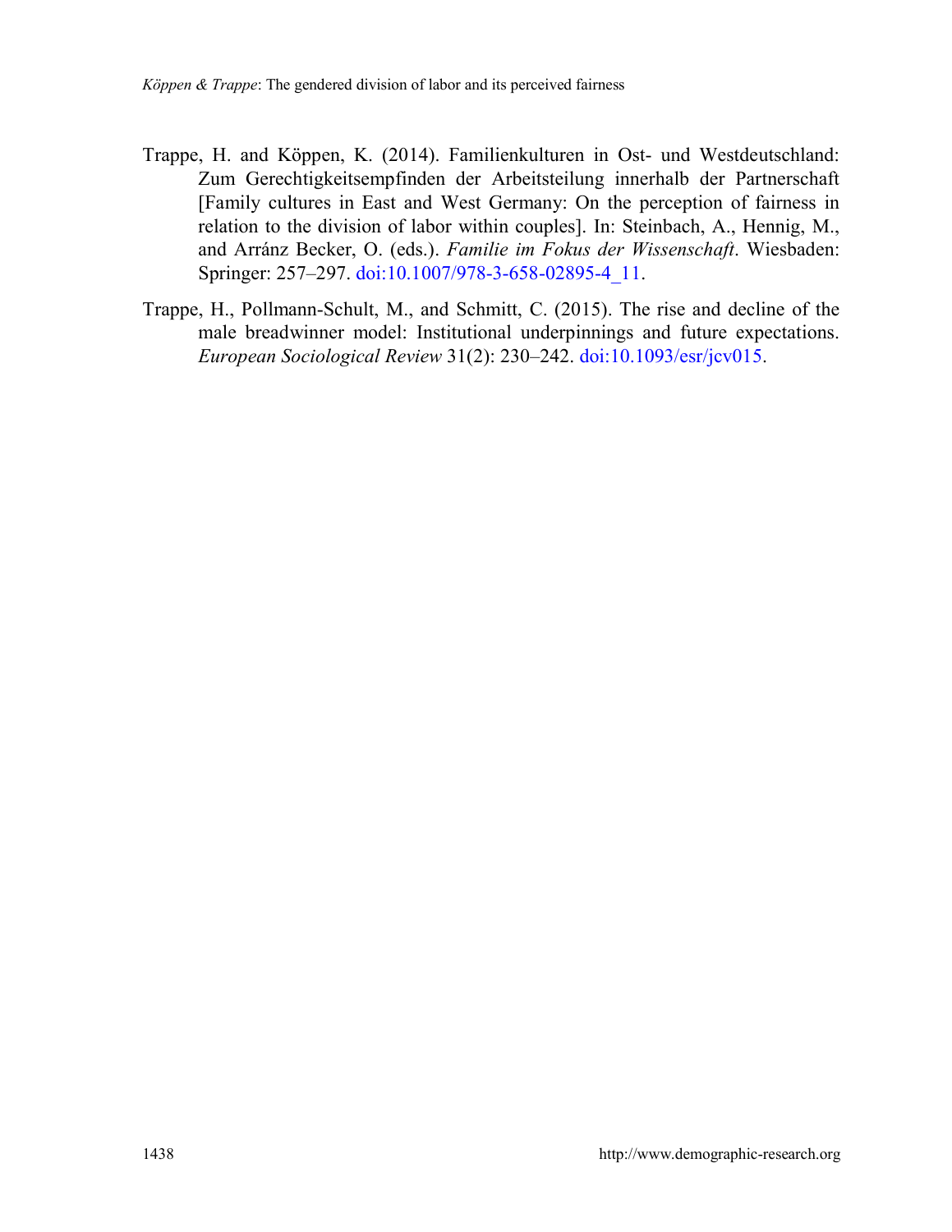- Trappe, H. and Köppen, K. (2014). Familienkulturen in Ost- und Westdeutschland: Zum Gerechtigkeitsempfinden der Arbeitsteilung innerhalb der Partnerschaft [Family cultures in East and West Germany: On the perception of fairness in relation to the division of labor within couples]. In: Steinbach, A., Hennig, M., and Arránz Becker, O. (eds.). *Familie im Fokus der Wissenschaft*. Wiesbaden: Springer: 257–297. [doi:10.1007/978-3-658-02895-4\\_11.](https://doi.org/10.1007/978-3-658-02895-4_11)
- Trappe, H., Pollmann-Schult, M., and Schmitt, C. (2015). The rise and decline of the male breadwinner model: Institutional underpinnings and future expectations. *European Sociological Review* 31(2): 230–242. [doi:10.1093/esr/jcv015.](https://doi.org/10.1093/esr/jcv015)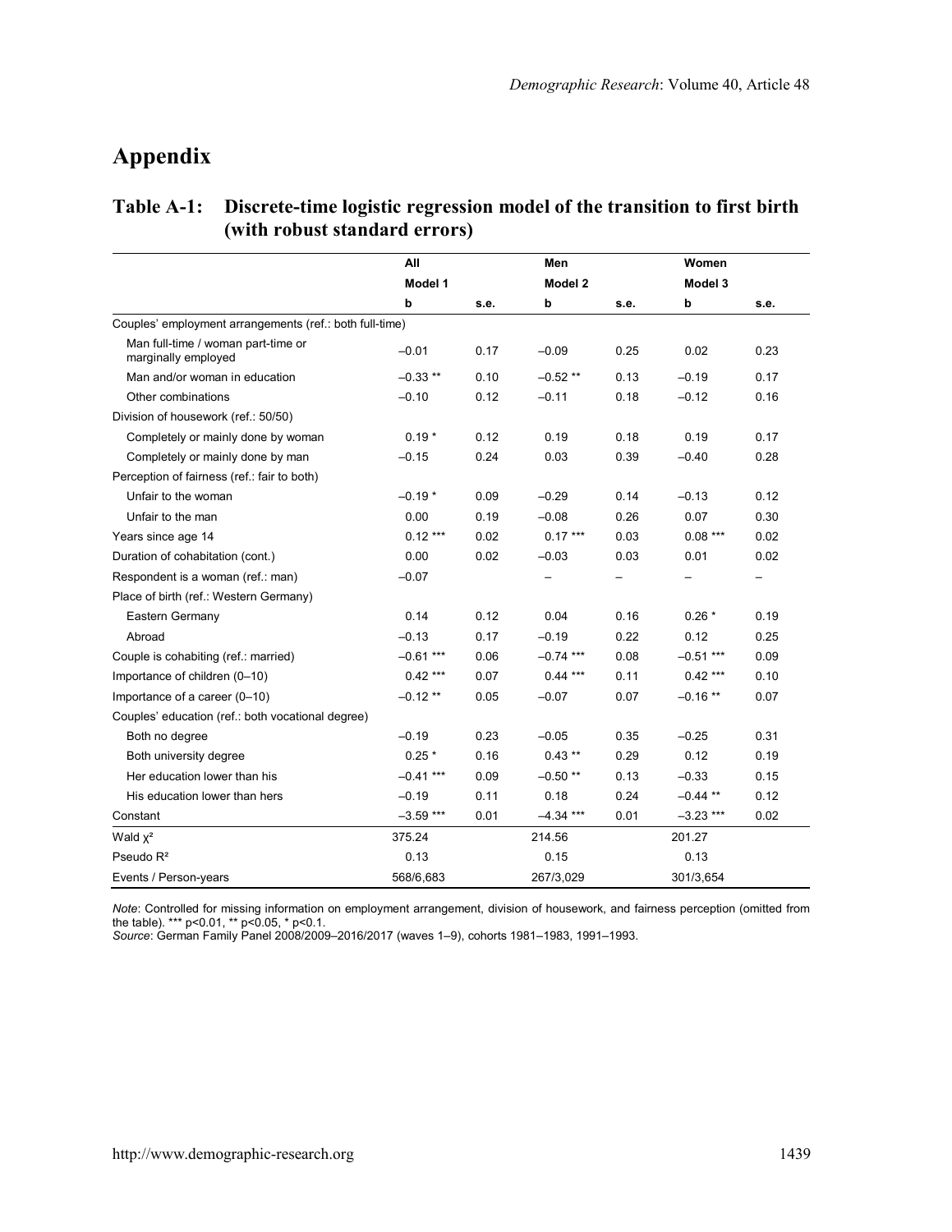# **Appendix**

## **Table A-1: Discrete-time logistic regression model of the transition to first birth (with robust standard errors)**

|                                                           | All<br>Model 1 |      | Men         |      | Women<br>Model 3 |      |
|-----------------------------------------------------------|----------------|------|-------------|------|------------------|------|
|                                                           |                |      | Model 2     |      |                  |      |
|                                                           | b              | s.e. | b           | s.e. | b                | s.e. |
| Couples' employment arrangements (ref.: both full-time)   |                |      |             |      |                  |      |
| Man full-time / woman part-time or<br>marginally employed | $-0.01$        | 0.17 | $-0.09$     | 0.25 | 0.02             | 0.23 |
| Man and/or woman in education                             | $-0.33$ **     | 0.10 | $-0.52$ **  | 0.13 | $-0.19$          | 0.17 |
| Other combinations                                        | $-0.10$        | 0.12 | $-0.11$     | 0.18 | $-0.12$          | 0.16 |
| Division of housework (ref.: 50/50)                       |                |      |             |      |                  |      |
| Completely or mainly done by woman                        | $0.19*$        | 0.12 | 0.19        | 0.18 | 0.19             | 0.17 |
| Completely or mainly done by man                          | $-0.15$        | 0.24 | 0.03        | 0.39 | $-0.40$          | 0.28 |
| Perception of fairness (ref.: fair to both)               |                |      |             |      |                  |      |
| Unfair to the woman                                       | $-0.19*$       | 0.09 | $-0.29$     | 0.14 | $-0.13$          | 0.12 |
| Unfair to the man                                         | 0.00           | 0.19 | $-0.08$     | 0.26 | 0.07             | 0.30 |
| Years since age 14                                        | $0.12***$      | 0.02 | $0.17***$   | 0.03 | $0.08***$        | 0.02 |
| Duration of cohabitation (cont.)                          | 0.00           | 0.02 | $-0.03$     | 0.03 | 0.01             | 0.02 |
| Respondent is a woman (ref.: man)                         | $-0.07$        |      |             | -    |                  | -    |
| Place of birth (ref.: Western Germany)                    |                |      |             |      |                  |      |
| Eastern Germany                                           | 0.14           | 0.12 | 0.04        | 0.16 | $0.26*$          | 0.19 |
| Abroad                                                    | $-0.13$        | 0.17 | $-0.19$     | 0.22 | 0.12             | 0.25 |
| Couple is cohabiting (ref.: married)                      | $-0.61$ ***    | 0.06 | $-0.74$ *** | 0.08 | $-0.51$ ***      | 0.09 |
| Importance of children (0-10)                             | $0.42***$      | 0.07 | $0.44***$   | 0.11 | $0.42***$        | 0.10 |
| Importance of a career (0-10)                             | $-0.12$ **     | 0.05 | $-0.07$     | 0.07 | $-0.16$ **       | 0.07 |
| Couples' education (ref.: both vocational degree)         |                |      |             |      |                  |      |
| Both no degree                                            | $-0.19$        | 0.23 | $-0.05$     | 0.35 | $-0.25$          | 0.31 |
| Both university degree                                    | $0.25*$        | 0.16 | $0.43**$    | 0.29 | 0.12             | 0.19 |
| Her education lower than his                              | $-0.41$ ***    | 0.09 | $-0.50$ **  | 0.13 | $-0.33$          | 0.15 |
| His education lower than hers                             | $-0.19$        | 0.11 | 0.18        | 0.24 | $-0.44$ **       | 0.12 |
| Constant                                                  | $-3.59$ ***    | 0.01 | $-4.34***$  | 0.01 | $-3.23$ ***      | 0.02 |
| Wald $x^2$                                                | 375.24         |      | 214.56      |      | 201.27           |      |
| Pseudo $R^2$                                              | 0.13           |      | 0.15        |      | 0.13             |      |
| Events / Person-years                                     | 568/6,683      |      | 267/3,029   |      | 301/3,654        |      |

*Note:* Controlled for missing information on employment arrangement, division of housework, and fairness perception (omitted from<br>the table). \*\*\* p<0.01, \*\* p<0.05, \* p<0.1.<br>*Source:* German Family Panel 2008/2009–2016/20